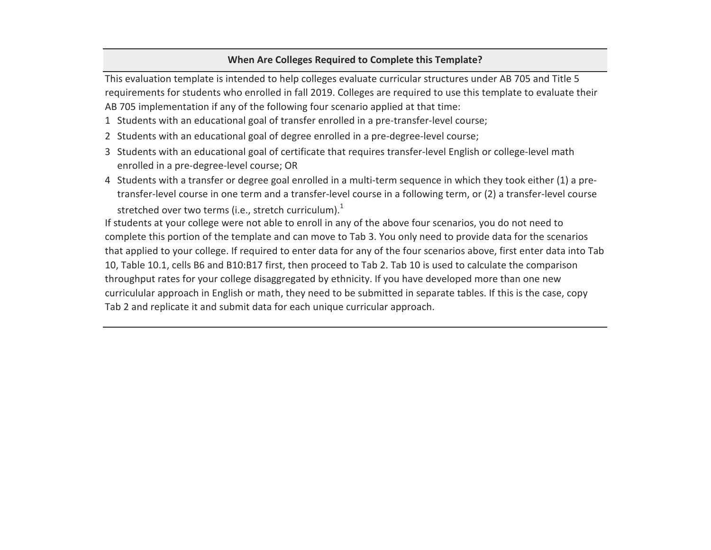## **When Are Colleges Required to Complete this Template?**

This evaluation template is intended to help colleges evaluate curricular structures under AB 705 and Title 5 requirements for students who enrolled in fall 2019. Colleges are required to use this template to evaluate their AB 705 implementation if any of the following four scenario applied at that time:

- 1 Students with an educational goal of transfer enrolled in a pre-transfer-level course;
- 2 Students with an educational goal of degree enrolled in a pre-degree-level course;
- 3 Students with an educational goal of certificate that requires transfer-level English or college-level math enrolled in a pre-degree-level course; OR
- 4 Students with a transfer or degree goal enrolled in a multi-term sequence in which they took either (1) a pretransfer-level course in one term and a transfer-level course in a following term, or (2) a transfer-level course stretched over two terms (i.e., stretch curriculum). $<sup>1</sup>$ </sup>

If students at your college were not able to enroll in any of the above four scenarios, you do not need to complete this portion of the template and can move to Tab 3. You only need to provide data for the scenarios that applied to your college. If required to enter data for any of the four scenarios above, first enter data into Tab 10, Table 10.1, cells B6 and B10:B17 first, then proceed to Tab 2. Tab 10 is used to calculate the comparison throughput rates for your college disaggregated by ethnicity. If you have developed more than one new curriculular approach in English or math, they need to be submitted in separate tables. If this is the case, copy Tab 2 and replicate it and submit data for each unique curricular approach.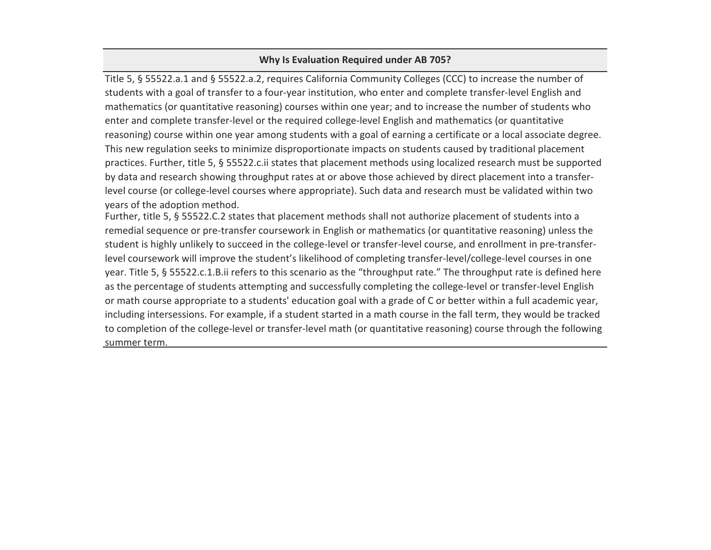# **Why Is Evaluation Required under AB 705?**

Title 5, § 55522.a.1 and § 55522.a.2, requires California Community Colleges (CCC) to increase the number of students with a goal of transfer to a four-year institution, who enter and complete transfer-level English and mathematics (or quantitative reasoning) courses within one year; and to increase the number of students who enter and complete transfer-level or the required college-level English and mathematics (or quantitative reasoning) course within one year among students with a goal of earning a certificate or a local associate degree. This new regulation seeks to minimize disproportionate impacts on students caused by traditional placement practices. Further, title 5, § 55522.c.ii states that placement methods using localized research must be supported by data and research showing throughput rates at or above those achieved by direct placement into a transferlevel course (or college-level courses where appropriate). Such data and research must be validated within two years of the adoption method.

Further, title 5, § 55522.C.2 states that placement methods shall not authorize placement of students into a remedial sequence or pre-transfer coursework in English or mathematics (or quantitative reasoning) unless the student is highly unlikely to succeed in the college-level or transfer-level course, and enrollment in pre-transferlevel coursework will improve the student's likelihood of completing transfer-level/college-level courses in one year. Title 5, § 55522.c.1.B.ii refers to this scenario as the "throughput rate." The throughput rate is defined here as the percentage of students attempting and successfully completing the college-level or transfer-level English or math course appropriate to a students' education goal with a grade of C or better within a full academic year, including intersessions. For example, if a student started in a math course in the fall term, they would be tracked to completion of the college-level or transfer-level math (or quantitative reasoning) course through the following summer term.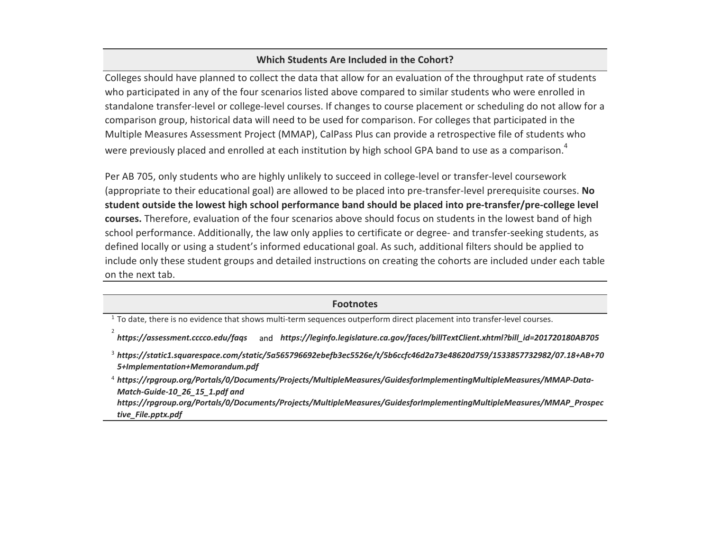### **Which Students Are Included in the Cohort?**

Colleges should have planned to collect the data that allow for an evaluation of the throughput rate of students who participated in any of the four scenarios listed above compared to similar students who were enrolled in standalone transfer-level or college-level courses. If changes to course placement or scheduling do not allow for a comparison group, historical data will need to be used for comparison. For colleges that participated in the Multiple Measures Assessment Project (MMAP), CalPass Plus can provide a retrospective file of students who were previously placed and enrolled at each institution by high school GPA band to use as a comparison.<sup>4</sup>

Per AB 705, only students who are highly unlikely to succeed in college-level or transfer-level coursework (appropriate to their educational goal) are allowed to be placed into pre-transfer-level prerequisite courses. **No student outside the lowest high school performance band should be placed into pre-transfer/pre-college level courses.** Therefore, evaluation of the four scenarios above should focus on students in the lowest band of high school performance. Additionally, the law only applies to certificate or degree- and transfer-seeking students, as defined locally or using a student's informed educational goal. As such, additional filters should be applied to include only these student groups and detailed instructions on creating the cohorts are included under each table on the next tab.

 $1$  To date, there is no evidence that shows multi-term sequences outperform direct placement into transfer-level courses.

2

and *[https://ass](https://assessment.cccco.edu/faqs)essment.cccco.edu/faqs [https://leg](https://leginfo.legislature.ca.gov/faces/billTextClient.xhtml?bill_id=201720180AB705)info.legislature.ca.gov/faces/billTextClient.xhtml?bill\_id=201720180AB705*

4 *[https://rpg](https://rpgroup.org/Portals/0/Documents/Projects/MultipleMeasures/GuidesforImplementingMultipleMeasures/MMAP-Data-Match-Guide-10_26_15_1.pdf)roup.org/Portals/0/Documents/Projects/MultipleMeasures/GuidesforImplementingMultipleMeasures/MMAP-Data[https://rpg](https://rpgroup.org/Portals/0/Documents/Projects/MultipleMeasures/GuidesforImplementingMultipleMeasures/MMAP_Prospective_File.pptx.pdf)roup.org/Portals/0/Documents/Projects/MultipleMeasures/GuidesforImplementingMultipleMeasures/MMAP\_Prospec [tive\\_File.pp](https://rpgroup.org/Portals/0/Documents/Projects/MultipleMeasures/GuidesforImplementingMultipleMeasures/MMAP_Prospective_File.pptx.pdf)tx.pdf [Match-Guid](https://rpgroup.org/Portals/0/Documents/Projects/MultipleMeasures/GuidesforImplementingMultipleMeasures/MMAP-Data-Match-Guide-10_26_15_1.pdf)e-10\_26\_15\_1.pdf and* 

**Footnotes**

<sup>3</sup> *[https://sta](https://static1.squarespace.com/static/5a565796692ebefb3ec5526e/t/5b6ccfc46d2a73e48620d759/1533857732982/07.18+AB+705+Implementation+Memorandum.pdf)tic1.squarespace.com/static/5a565796692ebefb3ec5526e/t/5b6ccfc46d2a73e48620d759/1533857732982/07.18+AB+70 [5+Impleme](https://static1.squarespace.com/static/5a565796692ebefb3ec5526e/t/5b6ccfc46d2a73e48620d759/1533857732982/07.18+AB+705+Implementation+Memorandum.pdf)ntation+Memorandum.pdf*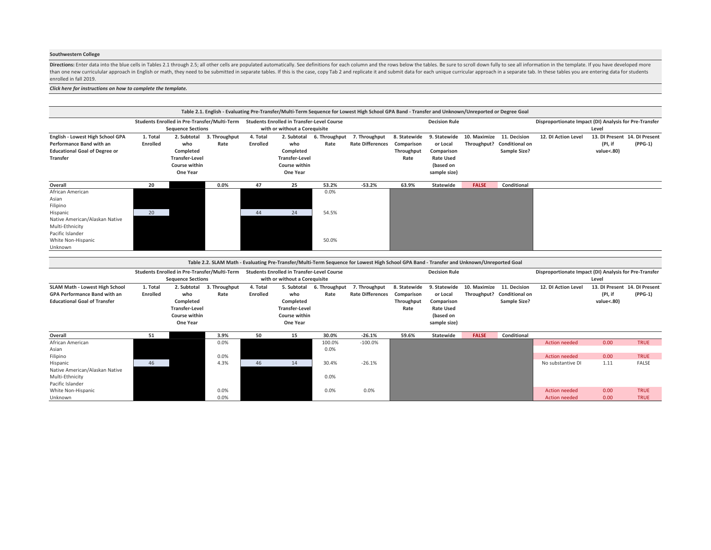### **Southwestern College**

Directions: Enter data into the blue cells in Tables 2.1 through 2.5; all other cells are populated automatically. See definitions for each column and the rows below the tables. Be sure to scroll down fully to see all info than one new curriculular approach in English or math, they need to be submitted in separate tables. If this is the case, copy Tab 2 and replicate it and submit data for each unique curricular approach in a separate tab. I enrolled in fall 2019.

### *[Click here for instructions on how to](#page-5-0) complete the template.*

|                                      |          |                          |                                              |          |                                                   |               | Table 2.1. English - Evaluating Pre-Transfer/Multi-Term Sequence for Lowest High School GPA Band - Transfer and Unknown/Unreported or Degree Goal |              |                      |              |                       |                                                        |                               |           |
|--------------------------------------|----------|--------------------------|----------------------------------------------|----------|---------------------------------------------------|---------------|---------------------------------------------------------------------------------------------------------------------------------------------------|--------------|----------------------|--------------|-----------------------|--------------------------------------------------------|-------------------------------|-----------|
|                                      |          |                          | Students Enrolled in Pre-Transfer/Multi-Term |          | <b>Students Enrolled in Transfer-Level Course</b> |               |                                                                                                                                                   |              | <b>Decision Rule</b> |              |                       | Disproportionate Impact (DI) Analysis for Pre-Transfer |                               |           |
|                                      |          | <b>Sequence Sections</b> |                                              |          | with or without a Corequisite                     |               |                                                                                                                                                   |              |                      |              |                       |                                                        | Level                         |           |
| English - Lowest High School GPA     | 1. Total | 2. Subtotal              | 3. Throughput                                | 4. Total | 2. Subtotal                                       | 6. Throughput | 7. Throughput                                                                                                                                     | 8. Statewide | 9. Statewide         | 10. Maximize | 11. Decision          | 12. DI Action Level                                    | 13. DI Present 14. DI Present |           |
| Performance Band with an             | Enrolled | who                      | Rate                                         | Enrolled | who                                               | Rate          | <b>Rate Differences</b>                                                                                                                           | Comparison   | or Local             | Throughput?  | <b>Conditional on</b> |                                                        | (PI, if                       | $(PPG-1)$ |
| <b>Educational Goal of Degree or</b> |          | Completed                |                                              |          | Completed                                         |               |                                                                                                                                                   | Throughput   | Comparison           |              | Sample Size?          |                                                        | value<.80)                    |           |
| Transfer                             |          | <b>Transfer-Level</b>    |                                              |          | <b>Transfer-Level</b>                             |               |                                                                                                                                                   | Rate         | <b>Rate Used</b>     |              |                       |                                                        |                               |           |
|                                      |          | Course within            |                                              |          | Course within                                     |               |                                                                                                                                                   |              | (based on            |              |                       |                                                        |                               |           |
|                                      |          | One Year                 |                                              |          | One Year                                          |               |                                                                                                                                                   |              | sample size)         |              |                       |                                                        |                               |           |
| Overall                              | 20       |                          | 0.0%                                         | 47       | 25                                                | 53.2%         | $-53.2%$                                                                                                                                          | 63.9%        | Statewide            | <b>FALSE</b> | Conditional           |                                                        |                               |           |
| African American                     |          |                          |                                              |          |                                                   | 0.0%          |                                                                                                                                                   |              |                      |              |                       |                                                        |                               |           |
| Asian                                |          |                          |                                              |          |                                                   |               |                                                                                                                                                   |              |                      |              |                       |                                                        |                               |           |
| Filipino                             |          |                          |                                              |          |                                                   |               |                                                                                                                                                   |              |                      |              |                       |                                                        |                               |           |
| Hispanic                             | 20       |                          |                                              | 44       | 24                                                | 54.5%         |                                                                                                                                                   |              |                      |              |                       |                                                        |                               |           |
| Native American/Alaskan Native       |          |                          |                                              |          |                                                   |               |                                                                                                                                                   |              |                      |              |                       |                                                        |                               |           |
| Multi-Ethnicity                      |          |                          |                                              |          |                                                   |               |                                                                                                                                                   |              |                      |              |                       |                                                        |                               |           |
| Pacific Islander                     |          |                          |                                              |          |                                                   |               |                                                                                                                                                   |              |                      |              |                       |                                                        |                               |           |
| White Non-Hispanic                   |          |                          |                                              |          |                                                   | 50.0%         |                                                                                                                                                   |              |                      |              |                       |                                                        |                               |           |
| Unknown                              |          |                          |                                              |          |                                                   |               |                                                                                                                                                   |              |                      |              |                       |                                                        |                               |           |
|                                      |          |                          |                                              |          |                                                   |               |                                                                                                                                                   |              |                      |              |                       |                                                        |                               |           |
|                                      |          |                          |                                              |          |                                                   |               | Table 2.2. SLAM Math - Evaluating Pre-Transfer/Multi-Term Sequence for Lowest High School GPA Band - Transfer and Unknown/Unreported Goal         |              |                      |              |                       |                                                        |                               |           |

|                                                                                                              |                      | Students Enrolled in Pre-Transfer/Multi-Term                                          |                       |                      | <b>Students Enrolled in Transfer-Level Course</b>                                     |                       |                                          |                                                  | <b>Decision Rule</b>                                                                    |                             |                                                       | Disproportionate Impact (DI) Analysis for Pre-Transfer |                                                        |              |
|--------------------------------------------------------------------------------------------------------------|----------------------|---------------------------------------------------------------------------------------|-----------------------|----------------------|---------------------------------------------------------------------------------------|-----------------------|------------------------------------------|--------------------------------------------------|-----------------------------------------------------------------------------------------|-----------------------------|-------------------------------------------------------|--------------------------------------------------------|--------------------------------------------------------|--------------|
|                                                                                                              |                      | <b>Sequence Sections</b>                                                              |                       |                      | with or without a Corequisite                                                         |                       |                                          |                                                  |                                                                                         |                             |                                                       |                                                        | Level                                                  |              |
| SLAM Math - Lowest High School<br><b>GPA Performance Band with an</b><br><b>Educational Goal of Transfer</b> | 1. Total<br>Enrolled | 2. Subtotal<br>who<br>Completed<br><b>Transfer-Level</b><br>Course within<br>One Year | 3. Throughput<br>Rate | 4. Total<br>Enrolled | 5. Subtotal<br>who<br>Completed<br><b>Transfer-Level</b><br>Course within<br>One Year | 6. Throughput<br>Rate | 7. Throughput<br><b>Rate Differences</b> | 8. Statewide<br>Comparison<br>Throughput<br>Rate | 9. Statewide<br>or Local<br>Comparison<br><b>Rate Used</b><br>(based on<br>sample size) | 10. Maximize<br>Throughput? | 11. Decision<br><b>Conditional on</b><br>Sample Size? | 12. DI Action Level                                    | 13. DI Present 14. DI Present<br>(PI, if<br>value<.80) | $(PPG-1)$    |
| Overall                                                                                                      | 51                   |                                                                                       | 3.9%                  | 50                   | 15                                                                                    | 30.0%                 | $-26.1%$                                 | 59.6%                                            | Statewide                                                                               | <b>FALSE</b>                | Conditional                                           |                                                        |                                                        |              |
| African American                                                                                             |                      |                                                                                       | 0.0%                  |                      |                                                                                       | 100.0%                | $-100.0\%$                               |                                                  |                                                                                         |                             |                                                       | <b>Action needed</b>                                   | 0.00                                                   | <b>TRUE</b>  |
| Asian                                                                                                        |                      |                                                                                       |                       |                      |                                                                                       | 0.0%                  |                                          |                                                  |                                                                                         |                             |                                                       |                                                        |                                                        |              |
| Filipino                                                                                                     |                      |                                                                                       | 0.0%                  |                      |                                                                                       |                       |                                          |                                                  |                                                                                         |                             |                                                       | Action needed                                          | 0.00                                                   | <b>TRUE</b>  |
| Hispanic                                                                                                     | 46                   |                                                                                       | 4.3%                  | 46                   | 14                                                                                    | 30.4%                 | $-26.1%$                                 |                                                  |                                                                                         |                             |                                                       | No substantive DI                                      | 1.11                                                   | <b>FALSE</b> |
| Native American/Alaskan Native                                                                               |                      |                                                                                       |                       |                      |                                                                                       |                       |                                          |                                                  |                                                                                         |                             |                                                       |                                                        |                                                        |              |
| Multi-Ethnicity                                                                                              |                      |                                                                                       |                       |                      |                                                                                       | 0.0%                  |                                          |                                                  |                                                                                         |                             |                                                       |                                                        |                                                        |              |
| Pacific Islander                                                                                             |                      |                                                                                       |                       |                      |                                                                                       |                       |                                          |                                                  |                                                                                         |                             |                                                       |                                                        |                                                        |              |
| White Non-Hispanic                                                                                           |                      |                                                                                       | 0.0%                  |                      |                                                                                       | 0.0%                  | 0.0%                                     |                                                  |                                                                                         |                             |                                                       | Action needed                                          | 0.00                                                   | <b>TRUE</b>  |
| Unknown                                                                                                      |                      |                                                                                       | 0.0%                  |                      |                                                                                       |                       |                                          |                                                  |                                                                                         |                             |                                                       | <b>Action needed</b>                                   | 0.00                                                   | <b>TRUE</b>  |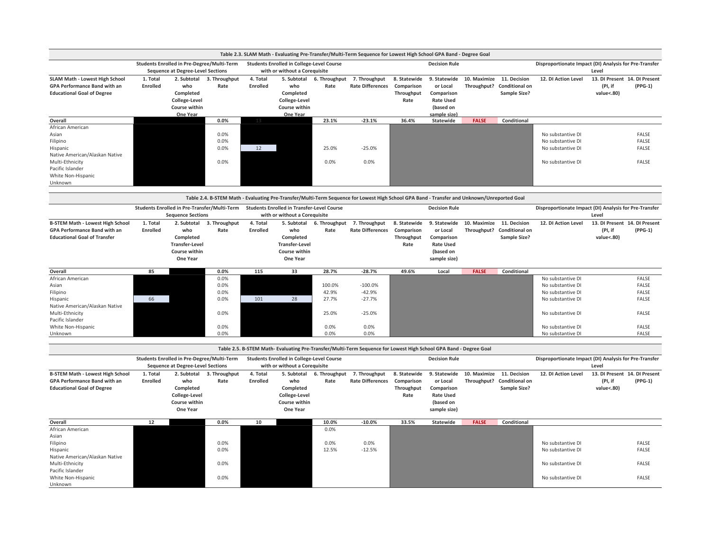|                                                                                                                   |                      |                                                                                        |                       |                      |                                                                                   |                       | Table 2.3. SLAM Math - Evaluating Pre-Transfer/Multi-Term Sequence for Lowest High School GPA Band - Degree Goal |                                                  |                                                                                         |                             |                                                       |                                                             |                       |                                            |
|-------------------------------------------------------------------------------------------------------------------|----------------------|----------------------------------------------------------------------------------------|-----------------------|----------------------|-----------------------------------------------------------------------------------|-----------------------|------------------------------------------------------------------------------------------------------------------|--------------------------------------------------|-----------------------------------------------------------------------------------------|-----------------------------|-------------------------------------------------------|-------------------------------------------------------------|-----------------------|--------------------------------------------|
|                                                                                                                   |                      | Students Enrolled in Pre-Degree/Multi-Term<br><b>Sequence at Degree-Level Sections</b> |                       |                      | <b>Students Enrolled in College-Level Course</b><br>with or without a Coreguisite |                       |                                                                                                                  |                                                  | <b>Decision Rule</b>                                                                    |                             |                                                       | Disproportionate Impact (DI) Analysis for Pre-Transfer      | Level                 |                                            |
| <b>SLAM Math - Lowest High School</b><br><b>GPA Performance Band with an</b><br><b>Educational Goal of Degree</b> | 1. Total<br>Enrolled | 2. Subtotal<br>who<br>Completed<br>College-Level<br>Course within<br>One Year          | 3. Throughput<br>Rate | 4. Total<br>Enrolled | 5. Subtotal<br>who<br>Completed<br>College-Level<br>Course within<br>One Year     | 6. Throughput<br>Rate | 7. Throughput<br><b>Rate Differences</b>                                                                         | 8. Statewide<br>Comparison<br>Throughput<br>Rate | 9. Statewide<br>or Local<br>Comparison<br><b>Rate Used</b><br>(based on<br>sample size) | 10. Maximize<br>Throughput? | 11. Decision<br><b>Conditional on</b><br>Sample Size? | 12. DI Action Level                                         | (PI, if<br>value<.80) | 13. DI Present 14. DI Present<br>$(PPG-1)$ |
| Overall                                                                                                           |                      |                                                                                        | 0.0%                  | 13                   |                                                                                   | 23.1%                 | $-23.1%$                                                                                                         | 36.4%                                            | Statewide                                                                               | <b>FALSE</b>                | Conditional                                           |                                                             |                       |                                            |
| African American<br>Asian<br>Filipino<br>Hispanic                                                                 |                      |                                                                                        | 0.0%<br>0.0%<br>0.0%  | 12                   |                                                                                   | 25.0%                 | $-25.0%$                                                                                                         |                                                  |                                                                                         |                             |                                                       | No substantive DI<br>No substantive DI<br>No substantive DI |                       | FALSE<br>FALSE<br>FALSE                    |
| Native American/Alaskan Native<br>Multi-Ethnicity<br>Pacific Islander<br>White Non-Hispanic<br>Unknown            |                      |                                                                                        | 0.0%                  |                      |                                                                                   | 0.0%                  | 0.0%                                                                                                             |                                                  |                                                                                         |                             |                                                       | No substantive DI                                           |                       | FALSE                                      |

|                                         |          |                                              |               |          |                                                   |               | Table 2.4. B-STEM Math - Evaluating Pre-Transfer/Multi-Term Sequence for Lowest High School GPA Band - Transfer and Unknown/Unreported Goal |              |                      |              |                       |                                                        |            |                               |
|-----------------------------------------|----------|----------------------------------------------|---------------|----------|---------------------------------------------------|---------------|---------------------------------------------------------------------------------------------------------------------------------------------|--------------|----------------------|--------------|-----------------------|--------------------------------------------------------|------------|-------------------------------|
|                                         |          | Students Enrolled in Pre-Transfer/Multi-Term |               |          | <b>Students Enrolled in Transfer-Level Course</b> |               |                                                                                                                                             |              | <b>Decision Rule</b> |              |                       | Disproportionate Impact (DI) Analysis for Pre-Transfer |            |                               |
|                                         |          | <b>Sequence Sections</b>                     |               |          | with or without a Corequisite                     |               |                                                                                                                                             |              |                      |              |                       |                                                        | Level      |                               |
| <b>B-STEM Math - Lowest High School</b> | 1. Total | 2. Subtotal                                  | 3. Throughput | 4. Total | 5. Subtotal                                       | 6. Throughput | 7. Throughput                                                                                                                               | 8. Statewide | 9. Statewide         | 10. Maximize | 11. Decision          | 12. DI Action Level                                    |            | 13. DI Present 14. DI Present |
| <b>GPA Performance Band with an</b>     | Enrolled | who                                          | Rate          | Enrolled | who                                               | Rate          | <b>Rate Differences</b>                                                                                                                     | Comparison   | or Local             | Throughput?  | <b>Conditional on</b> |                                                        | (PI, if    | $(PPG-1)$                     |
| <b>Educational Goal of Transfer</b>     |          | Completed                                    |               |          | Completed                                         |               |                                                                                                                                             | Throughput   | Comparison           |              | Sample Size?          |                                                        | value<.80) |                               |
|                                         |          | <b>Transfer-Level</b>                        |               |          | <b>Transfer-Level</b>                             |               |                                                                                                                                             | Rate         | <b>Rate Used</b>     |              |                       |                                                        |            |                               |
|                                         |          | Course within                                |               |          | Course within                                     |               |                                                                                                                                             |              | (based on            |              |                       |                                                        |            |                               |
|                                         |          | <b>One Year</b>                              |               |          | One Year                                          |               |                                                                                                                                             |              | sample size)         |              |                       |                                                        |            |                               |
| Overall                                 | 85       |                                              | 0.0%          | 115      | 33                                                | 28.7%         | $-28.7%$                                                                                                                                    | 49.6%        | Local                | <b>FALSE</b> | Conditional           |                                                        |            |                               |
| African American                        |          |                                              | 0.0%          |          |                                                   |               |                                                                                                                                             |              |                      |              |                       | No substantive DI                                      |            | FALSE                         |
| Asian                                   |          |                                              | 0.0%          |          |                                                   | 100.0%        | $-100.0\%$                                                                                                                                  |              |                      |              |                       | No substantive DI                                      |            | <b>FALSE</b>                  |
| Filipino                                |          |                                              | 0.0%          |          |                                                   | 42.9%         | $-42.9%$                                                                                                                                    |              |                      |              |                       | No substantive DI                                      |            | <b>FALSE</b>                  |
| Hispanic                                | 66       |                                              | 0.0%          | 101      | 28                                                | 27.7%         | $-27.7%$                                                                                                                                    |              |                      |              |                       | No substantive DI                                      |            | FALSE                         |
| Native American/Alaskan Native          |          |                                              |               |          |                                                   |               |                                                                                                                                             |              |                      |              |                       |                                                        |            |                               |
| Multi-Ethnicity                         |          |                                              | 0.0%          |          |                                                   | 25.0%         | $-25.0%$                                                                                                                                    |              |                      |              |                       | No substantive DI                                      |            | <b>FALSE</b>                  |
| Pacific Islander                        |          |                                              |               |          |                                                   |               |                                                                                                                                             |              |                      |              |                       |                                                        |            |                               |
| White Non-Hispanic                      |          |                                              | 0.0%          |          |                                                   | 0.0%          | 0.0%                                                                                                                                        |              |                      |              |                       | No substantive DI                                      |            | <b>FALSE</b>                  |
| Unknown                                 |          |                                              | 0.0%          |          |                                                   | 0.0%          | 0.0%                                                                                                                                        |              |                      |              |                       | No substantive DI                                      |            | FALSE                         |

|                                         |          |                                            |               |          |                                           |               | Table 2.5. B-STEM Math- Evaluating Pre-Transfer/Multi-Term Sequence for Lowest High School GPA Band - Degree Goal |              |                      |              |                       |                                                        |            |                               |
|-----------------------------------------|----------|--------------------------------------------|---------------|----------|-------------------------------------------|---------------|-------------------------------------------------------------------------------------------------------------------|--------------|----------------------|--------------|-----------------------|--------------------------------------------------------|------------|-------------------------------|
|                                         |          | Students Enrolled in Pre-Degree/Multi-Term |               |          | Students Enrolled in College-Level Course |               |                                                                                                                   |              | <b>Decision Rule</b> |              |                       | Disproportionate Impact (DI) Analysis for Pre-Transfer |            |                               |
|                                         |          | <b>Sequence at Degree-Level Sections</b>   |               |          | with or without a Corequisite             |               |                                                                                                                   |              |                      |              |                       |                                                        | Level      |                               |
| <b>B-STEM Math - Lowest High School</b> | 1. Total | 2. Subtotal                                | 3. Throughput | 4. Total | 5. Subtotal                               | 6. Throughput | 7. Throughput                                                                                                     | 8. Statewide | 9. Statewide         | 10. Maximize | 11. Decision          | 12. DI Action Level                                    |            | 13. DI Present 14. DI Present |
| <b>GPA Performance Band with an</b>     | Enrolled | who                                        | Rate          | Enrolled | who                                       | Rate          | <b>Rate Differences</b>                                                                                           | Comparison   | or Local             | Throughput?  | <b>Conditional on</b> |                                                        | (PI, if    | $(PPG-1)$                     |
| <b>Educational Goal of Degree</b>       |          | Completed                                  |               |          | Completed                                 |               |                                                                                                                   | Throughput   | Comparison           |              | Sample Size?          |                                                        | value<.80) |                               |
|                                         |          | College-Level                              |               |          | College-Level                             |               |                                                                                                                   | Rate         | <b>Rate Used</b>     |              |                       |                                                        |            |                               |
|                                         |          | Course within                              |               |          | Course within                             |               |                                                                                                                   |              | (based on            |              |                       |                                                        |            |                               |
|                                         |          | One Year                                   |               |          | One Year                                  |               |                                                                                                                   |              | sample size)         |              |                       |                                                        |            |                               |
| Overall                                 | 12       |                                            | 0.0%          | 10       |                                           | 10.0%         | $-10.0%$                                                                                                          | 33.5%        | Statewide            | <b>FALSE</b> | Conditional           |                                                        |            |                               |
| African American                        |          |                                            |               |          |                                           | 0.0%          |                                                                                                                   |              |                      |              |                       |                                                        |            |                               |
| Asian                                   |          |                                            |               |          |                                           |               |                                                                                                                   |              |                      |              |                       |                                                        |            |                               |
| Filipino                                |          |                                            | 0.0%          |          |                                           | 0.0%          | 0.0%                                                                                                              |              |                      |              |                       | No substantive DI                                      |            | <b>FALSE</b>                  |
| Hispanic                                |          |                                            | 0.0%          |          |                                           | 12.5%         | $-12.5%$                                                                                                          |              |                      |              |                       | No substantive DI                                      |            | FALSE                         |
| Native American/Alaskan Native          |          |                                            |               |          |                                           |               |                                                                                                                   |              |                      |              |                       |                                                        |            |                               |
| Multi-Ethnicity                         |          |                                            | 0.0%          |          |                                           |               |                                                                                                                   |              |                      |              |                       | No substantive DI                                      |            | <b>FALSE</b>                  |
| Pacific Islander                        |          |                                            |               |          |                                           |               |                                                                                                                   |              |                      |              |                       |                                                        |            |                               |
| White Non-Hispanic                      |          |                                            | 0.0%          |          |                                           |               |                                                                                                                   |              |                      |              |                       | No substantive DI                                      |            | <b>FALSE</b>                  |
| Unknown                                 |          |                                            |               |          |                                           |               |                                                                                                                   |              |                      |              |                       |                                                        |            |                               |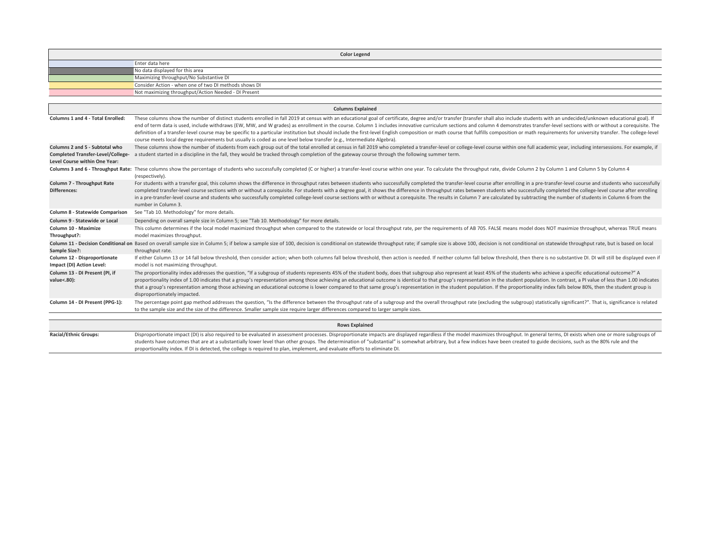<span id="page-5-0"></span>

|                                                                                                             | <b>Color Legend</b>                                                                                                                                                                                                                                                                                                                                                                                                                                                                                                                                                                                                                                                                                                                                                                                                         |
|-------------------------------------------------------------------------------------------------------------|-----------------------------------------------------------------------------------------------------------------------------------------------------------------------------------------------------------------------------------------------------------------------------------------------------------------------------------------------------------------------------------------------------------------------------------------------------------------------------------------------------------------------------------------------------------------------------------------------------------------------------------------------------------------------------------------------------------------------------------------------------------------------------------------------------------------------------|
|                                                                                                             | Enter data here                                                                                                                                                                                                                                                                                                                                                                                                                                                                                                                                                                                                                                                                                                                                                                                                             |
|                                                                                                             | No data displayed for this area                                                                                                                                                                                                                                                                                                                                                                                                                                                                                                                                                                                                                                                                                                                                                                                             |
|                                                                                                             | Maximizing throughput/No Substantive DI                                                                                                                                                                                                                                                                                                                                                                                                                                                                                                                                                                                                                                                                                                                                                                                     |
|                                                                                                             | Consider Action - when one of two DI methods shows DI                                                                                                                                                                                                                                                                                                                                                                                                                                                                                                                                                                                                                                                                                                                                                                       |
|                                                                                                             | Not maximizing throughput/Action Needed - DI Present                                                                                                                                                                                                                                                                                                                                                                                                                                                                                                                                                                                                                                                                                                                                                                        |
|                                                                                                             | <b>Columns Explained</b>                                                                                                                                                                                                                                                                                                                                                                                                                                                                                                                                                                                                                                                                                                                                                                                                    |
| <b>Columns 1 and 4 - Total Enrolled:</b>                                                                    | These columns show the number of distinct students enrolled in fall 2019 at census with an educational goal of certificate, degree and/or transfer (transfer shall also include students with an undecided/unknown educational<br>end of term data is used, include withdraws (EW, MW, and W grades) as enrollment in the course. Column 1 includes innovative curriculum sections and column 4 demonstrates transfer-level sections with or without a corequisi<br>definition of a transfer-level course may be specific to a particular institution but should include the first-level English composition or math course that fulfills composition or math requirements for university transfer<br>course meets local degree requirements but usually is coded as one level below transfer (e.g., Intermediate Algebra). |
| Columns 2 and 5 - Subtotal who<br><b>Completed Transfer-Level/College-</b><br>Level Course within One Year: | These columns show the number of students from each group out of the total enrolled at census in fall 2019 who completed a transfer-level or college-level course within one full academic year, including intersessions. For<br>a student started in a discipline in the fall, they would be tracked through completion of the gateway course through the following summer term.                                                                                                                                                                                                                                                                                                                                                                                                                                           |
|                                                                                                             | Columns 3 and 6 - Throughput Rate: These columns show the percentage of students who successfully completed (C or higher) a transfer-level course within one year. To calculate the throughput rate, divide Column 2 by Column<br>(respectively).                                                                                                                                                                                                                                                                                                                                                                                                                                                                                                                                                                           |
| Column 7 - Throughput Rate<br><b>Differences:</b>                                                           | For students with a transfer goal, this column shows the difference in throughput rates between students who successfully completed the transfer-level course after enrolling in a pre-transfer-level course and students who<br>completed transfer-level course sections with or without a corequisite. For students with a degree goal, it shows the difference in throughput rates between students who successfully completed the college-level course afte<br>in a pre-transfer-level course and students who successfully completed college-level course sections with or without a corequisite. The results in Column 7 are calculated by subtracting the number of students in Column 6 f<br>number in Column 3.                                                                                                    |
| Column 8 - Statewide Comparison                                                                             | See "Tab 10. Methodology" for more details.                                                                                                                                                                                                                                                                                                                                                                                                                                                                                                                                                                                                                                                                                                                                                                                 |
| Column 9 - Statewide or Local                                                                               | Depending on overall sample size in Column 5; see "Tab 10. Methodology" for more details.                                                                                                                                                                                                                                                                                                                                                                                                                                                                                                                                                                                                                                                                                                                                   |
| Column 10 - Maximize<br>Throughput?:                                                                        | This column determines if the local model maximized throughput when compared to the statewide or local throughput rate, per the requirements of AB 705. FALSE means model does NOT maximize throughput, whereas TRUE means<br>model maximizes throughput.                                                                                                                                                                                                                                                                                                                                                                                                                                                                                                                                                                   |
| Sample Size?:                                                                                               | Column 11 - Decision Conditional on Based on overall sample size in Column 5; if below a sample size of 100, decision is conditional on statewide throughput rate; if sample size is above 100, decision is not conditional on<br>throughput rate.                                                                                                                                                                                                                                                                                                                                                                                                                                                                                                                                                                          |
| Column 12 - Disproportionate<br>Impact (DI) Action Level:                                                   | If either Column 13 or 14 fall below threshold, then consider action; when both columns fall below threshold, then action is needed. If neither column fall below threshold, then there is no substantive DI. DI will still be<br>model is not maximizing throughput.                                                                                                                                                                                                                                                                                                                                                                                                                                                                                                                                                       |
| Column 13 - DI Present (PI, if<br>value<.80):                                                               | The proportionality index addresses the question, "If a subgroup of students represents 45% of the student body, does that subgroup also represent at least 45% of the students who achieve a specific educational outcome?" A<br>proportionality index of 1.00 indicates that a group's representation among those achieving an educational outcome is identical to that group's representation in the student population. In contrast, a PI value of less than<br>that a group's representation among those achieving an educational outcome is lower compared to that same group's representation in the student population. If the proportionality index falls below 80%, then the student gro<br>disproportionately impacted.                                                                                          |
| Column 14 - DI Present (PPG-1):                                                                             | The percentage point gap method addresses the question, "Is the difference between the throughput rate of a subgroup and the overall throughput rate (excluding the subgroup) statistically significant?". That is, significan<br>to the sample size and the size of the difference. Smaller sample size require larger differences compared to larger sample sizes.                                                                                                                                                                                                                                                                                                                                                                                                                                                        |
|                                                                                                             | <b>Rows Explained</b>                                                                                                                                                                                                                                                                                                                                                                                                                                                                                                                                                                                                                                                                                                                                                                                                       |
| <b>Racial/Ethnic Groups:</b>                                                                                | Disproportionate impact (DI) is also required to be evaluated in assessment processes. Disproportionate impacts are displayed regardless if the model maximizes throughput. In general terms, DI exists when one or more subgr<br>students have outcomes that are at a substantially lower level than other groups. The determination of "substantial" is somewhat arbitrary, but a few indices have been created to guide decisions, such as the 80% rule and t                                                                                                                                                                                                                                                                                                                                                            |

proportionality index. If DI is detected, the college is required to plan, implement, and evaluate efforts to eliminate DI.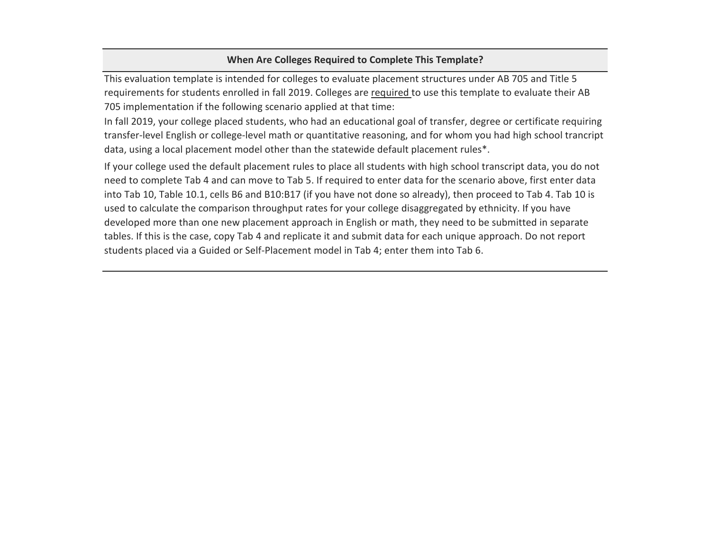# **When Are Colleges Required to Complete This Template?**

This evaluation template is intended for colleges to evaluate placement structures under AB 705 and Title 5 requirements for students enrolled in fall 2019. Colleges are required to use this template to evaluate their AB 705 implementation if the following scenario applied at that time:

In fall 2019, your college placed students, who had an educational goal of transfer, degree or certificate requiring transfer-level English or college-level math or quantitative reasoning, and for whom you had high school trancript data, using a local placement model other than the statewide default placement rules\*.

If your college used the default placement rules to place all students with high school transcript data, you do not need to complete Tab 4 and can move to Tab 5. If required to enter data for the scenario above, first enter data into Tab 10, Table 10.1, cells B6 and B10:B17 (if you have not done so already), then proceed to Tab 4. Tab 10 is used to calculate the comparison throughput rates for your college disaggregated by ethnicity. If you have developed more than one new placement approach in English or math, they need to be submitted in separate tables. If this is the case, copy Tab 4 and replicate it and submit data for each unique approach. Do not report students placed via a Guided or Self-Placement model in Tab 4; enter them into Tab 6.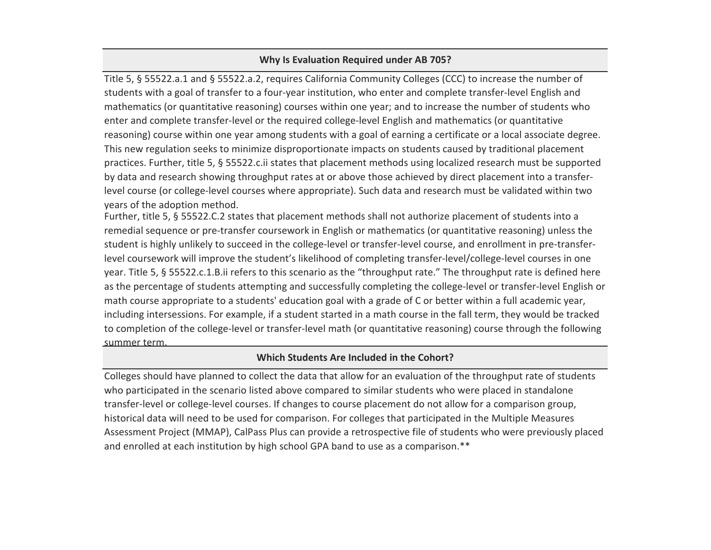## **Why Is Evaluation Required under AB 705?**

Title 5, § 55522.a.1 and § 55522.a.2, requires California Community Colleges (CCC) to increase the number of students with a goal of transfer to a four-year institution, who enter and complete transfer-level English and mathematics (or quantitative reasoning) courses within one year; and to increase the number of students who enter and complete transfer-level or the required college-level English and mathematics (or quantitative reasoning) course within one year among students with a goal of earning a certificate or a local associate degree. This new regulation seeks to minimize disproportionate impacts on students caused by traditional placement practices. Further, title 5, § 55522.c.ii states that placement methods using localized research must be supported by data and research showing throughput rates at or above those achieved by direct placement into a transferlevel course (or college-level courses where appropriate). Such data and research must be validated within two years of the adoption method.

Further, title 5, § 55522.C.2 states that placement methods shall not authorize placement of students into a remedial sequence or pre-transfer coursework in English or mathematics (or quantitative reasoning) unless the student is highly unlikely to succeed in the college-level or transfer-level course, and enrollment in pre-transferlevel coursework will improve the student's likelihood of completing transfer-level/college-level courses in one year. Title 5, § 55522.c.1.B.ii refers to this scenario as the "throughput rate." The throughput rate is defined here as the percentage of students attempting and successfully completing the college-level or transfer-level English or math course appropriate to a students' education goal with a grade of C or better within a full academic year, including intersessions. For example, if a student started in a math course in the fall term, they would be tracked to completion of the college-level or transfer-level math (or quantitative reasoning) course through the following summer term.

## **Which Students Are Included in the Cohort?**

Colleges should have planned to collect the data that allow for an evaluation of the throughput rate of students who participated in the scenario listed above compared to similar students who were placed in standalone transfer-level or college-level courses. If changes to course placement do not allow for a comparison group, historical data will need to be used for comparison. For colleges that participated in the Multiple Measures Assessment Project (MMAP), CalPass Plus can provide a retrospective file of students who were previously placed and enrolled at each institution by high school GPA band to use as a comparison.\*\*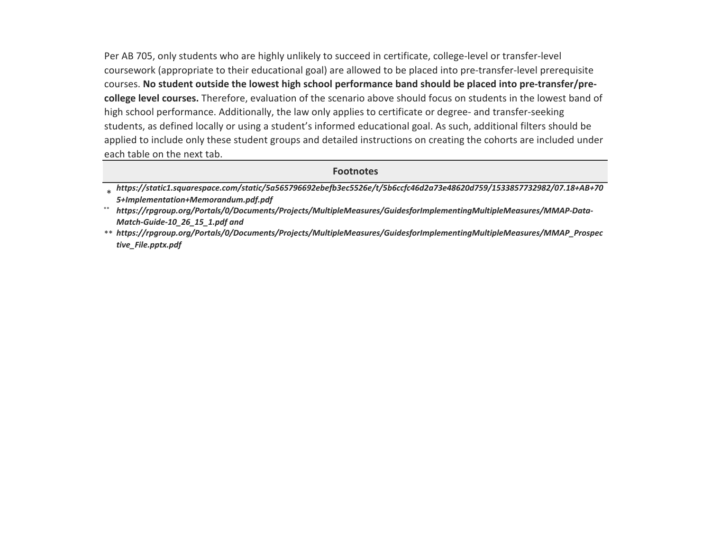Per AB 705, only students who are highly unlikely to succeed in certificate, college-level or transfer-level coursework (appropriate to their educational goal) are allowed to be placed into pre-transfer-level prerequisite courses. **No student outside the lowest high school performance band should be placed into pre-transfer/precollege level courses.** Therefore, evaluation of the scenario above should focus on students in the lowest band of high school performance. Additionally, the law only applies to certificate or degree- and transfer-seeking students, as defined locally or using a student's informed educational goal. As such, additional filters should be applied to include only these student groups and detailed instructions on creating the cohorts are included under each table on the next tab.

### **Footnotes**

<sup>\*</sup> *[https://sta](https://static1.squarespace.com/static/5a565796692ebefb3ec5526e/t/5b6ccfc46d2a73e48620d759/1533857732982/07.18+AB+705+Implementation+Memorandum.pdf.pdf)tic1.squarespace.com/static/5a565796692ebefb3ec5526e/t/5b6ccfc46d2a73e48620d759/1533857732982/07.18+AB+70 [5+Impleme](https://static1.squarespace.com/static/5a565796692ebefb3ec5526e/t/5b6ccfc46d2a73e48620d759/1533857732982/07.18+AB+705+Implementation+Memorandum.pdf.pdf)ntation+Memorandum.pdf.pdf*

<sup>\*\*</sup> *[https://rpg](https://rpgroup.org/Portals/0/Documents/Projects/MultipleMeasures/GuidesforImplementingMultipleMeasures/MMAP-Data-Match-Guide-10_26_15_1.pdf)roup.org/Portals/0/Documents/Projects/MultipleMeasures/GuidesforImplementingMultipleMeasures/MMAP-Data-[Match-Guid](https://rpgroup.org/Portals/0/Documents/Projects/MultipleMeasures/GuidesforImplementingMultipleMeasures/MMAP-Data-Match-Guide-10_26_15_1.pdf)e-10\_26\_15\_1.pdf and*

<sup>\*\*</sup> *[https://rpg](https://rpgroup.org/Portals/0/Documents/Projects/MultipleMeasures/GuidesforImplementingMultipleMeasures/MMAP_Prospective_File.pptx.pdf)roup.org/Portals/0/Documents/Projects/MultipleMeasures/GuidesforImplementingMultipleMeasures/MMAP\_Prospec [tive\\_File.pp](https://rpgroup.org/Portals/0/Documents/Projects/MultipleMeasures/GuidesforImplementingMultipleMeasures/MMAP_Prospective_File.pptx.pdf)tx.pdf*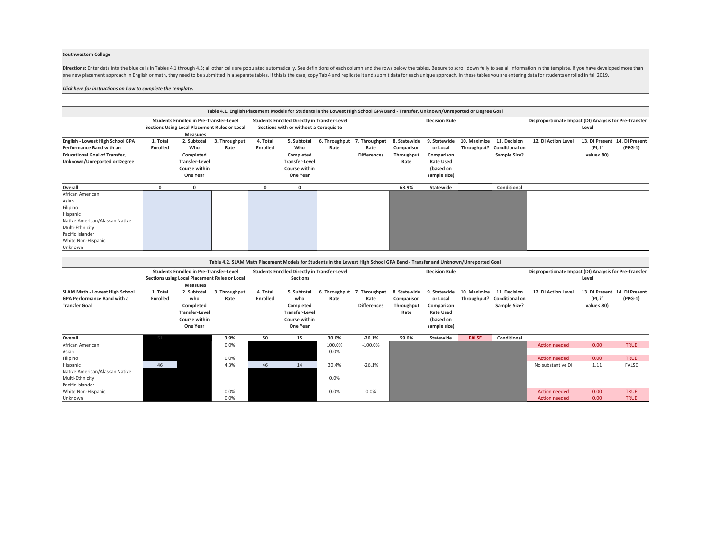#### **Southwestern College**

Directions: Enter data into the blue cells in Tables 4.1 through 4.5; all other cells are populated automatically. See definitions of each column and the rows below the tables. Be sure to scroll down fully to see all infor one new placement approach in English or math, they need to be submitted in a separate tables. If this is the case, copy Tab 4 and replicate it and submitt data for each unique approach. In these tables you are entering da

#### *[Click here for instructions on how to c](#page-11-0)omplete the template.*

|                                                                                                                                                             |                             |                                                                                                                    |                       |                             | Table 4.1. English Placement Models for Students in the Lowest High School GPA Band - Transfer, Unknown/Unreported or Degree Goal |                                     |                            |                                                  |                                                                                         |              |                                                            |                                                        |                                                        |                            |
|-------------------------------------------------------------------------------------------------------------------------------------------------------------|-----------------------------|--------------------------------------------------------------------------------------------------------------------|-----------------------|-----------------------------|-----------------------------------------------------------------------------------------------------------------------------------|-------------------------------------|----------------------------|--------------------------------------------------|-----------------------------------------------------------------------------------------|--------------|------------------------------------------------------------|--------------------------------------------------------|--------------------------------------------------------|----------------------------|
|                                                                                                                                                             |                             | <b>Students Enrolled in Pre-Transfer-Level</b><br>Sections Using Local Placement Rules or Local<br><b>Measures</b> |                       |                             | <b>Students Enrolled Directly in Transfer-Level</b><br>Sections with or without a Corequisite                                     |                                     |                            |                                                  | <b>Decision Rule</b>                                                                    |              |                                                            | Disproportionate Impact (DI) Analysis for Pre-Transfer | Level                                                  |                            |
| English - Lowest High School GPA<br><b>Performance Band with an</b><br><b>Educational Goal of Transfer.</b><br>Unknown/Unreported or Degree                 | 1. Total<br>Enrolled        | 2. Subtotal<br>Who<br>Completed<br><b>Transfer-Level</b><br>Course within<br>One Year                              | 3. Throughput<br>Rate | 4. Total<br><b>Enrolled</b> | 5. Subtotal<br>Who<br>Completed<br><b>Transfer-Level</b><br>Course within<br>One Year                                             | 6. Throughput 7. Throughput<br>Rate | Rate<br><b>Differences</b> | 8. Statewide<br>Comparison<br>Throughput<br>Rate | 9. Statewide<br>or Local<br>Comparison<br><b>Rate Used</b><br>(based on<br>sample size) | 10. Maximize | 11. Decision<br>Throughput? Conditional on<br>Sample Size? | 12. DI Action Level                                    | 13. DI Present 14. DI Present<br>(PI, if<br>value<.80) | $(PPG-1)$                  |
| Overall                                                                                                                                                     | $\mathbf 0$                 | $\mathbf 0$                                                                                                        |                       | $\Omega$                    | 0                                                                                                                                 |                                     |                            | 63.9%                                            | Statewide                                                                               |              | Conditional                                                |                                                        |                                                        |                            |
| African American<br>Asian<br>Filipino<br>Hispanic<br>Native American/Alaskan Native<br>Multi-Ethnicity<br>Pacific Islander<br>White Non-Hispanic<br>Unknown |                             |                                                                                                                    |                       |                             |                                                                                                                                   |                                     |                            |                                                  |                                                                                         |              |                                                            |                                                        |                                                        |                            |
|                                                                                                                                                             |                             |                                                                                                                    |                       |                             |                                                                                                                                   |                                     |                            |                                                  |                                                                                         |              |                                                            |                                                        |                                                        |                            |
|                                                                                                                                                             |                             |                                                                                                                    |                       |                             | Table 4.2. SLAM Math Placement Models for Students in the Lowest High School GPA Band - Transfer and Unknown/Unreported Goal      |                                     |                            |                                                  |                                                                                         |              |                                                            |                                                        |                                                        |                            |
|                                                                                                                                                             |                             | <b>Students Enrolled in Pre-Transfer-Level</b><br>Sections using Local Placement Rules or Local<br><b>Measures</b> |                       |                             | <b>Students Enrolled Directly in Transfer-Level</b><br><b>Sections</b>                                                            |                                     |                            |                                                  | <b>Decision Rule</b>                                                                    |              |                                                            | Disproportionate Impact (DI) Analysis for Pre-Transfer | Level                                                  |                            |
| SLAM Math - Lowest High School<br><b>GPA Performance Band with a</b><br><b>Transfer Goal</b>                                                                | 1. Total<br><b>Enrolled</b> | 2. Subtotal<br>who<br>Completed<br><b>Transfer-Level</b><br>Course within<br>One Year                              | 3. Throughput<br>Rate | 4. Total<br>Enrolled        | 5. Subtotal<br>who<br>Completed<br><b>Transfer-Level</b><br>Course within<br>One Year                                             | 6. Throughput 7. Throughput<br>Rate | Rate<br><b>Differences</b> | 8. Statewide<br>Comparison<br>Throughput<br>Rate | 9. Statewide<br>or Local<br>Comparison<br><b>Rate Used</b><br>(based on<br>sample size) | 10. Maximize | 11. Decision<br>Throughput? Conditional on<br>Sample Size? | 12. DI Action Level                                    | 13. DI Present 14. DI Present<br>(PI, if<br>value<.80) | $(PPG-1)$                  |
| Overall                                                                                                                                                     | 51                          |                                                                                                                    | 3.9%                  | 50                          | 15                                                                                                                                | 30.0%                               | $-26.1%$                   | 59.6%                                            | <b>Statewide</b>                                                                        | <b>FALSE</b> | Conditional                                                |                                                        |                                                        |                            |
| African American<br>Asian<br>Filipino                                                                                                                       |                             |                                                                                                                    | 0.0%<br>0.0%          |                             |                                                                                                                                   | 100.0%<br>0.0%                      | $-100.0%$                  |                                                  |                                                                                         |              |                                                            | <b>Action needed</b><br><b>Action needed</b>           | 0.00<br>0.00                                           | <b>TRUE</b><br><b>TRUE</b> |
| Hispanic<br>Native American/Alaskan Native<br>Multi-Ethnicity<br>Pacific Islander                                                                           | 46                          |                                                                                                                    | 4.3%                  | 46                          | 14                                                                                                                                | 30.4%<br>0.0%                       | $-26.1%$                   |                                                  |                                                                                         |              |                                                            | No substantive DI                                      | 1.11                                                   | <b>FALSE</b>               |
| White Non-Hispanic<br>Unknown                                                                                                                               |                             |                                                                                                                    | 0.0%<br>0.0%          |                             |                                                                                                                                   | 0.0%                                | 0.0%                       |                                                  |                                                                                         |              |                                                            | <b>Action needed</b><br><b>Action needed</b>           | 0.00<br>0.00                                           | <b>TRUE</b><br><b>TRUE</b> |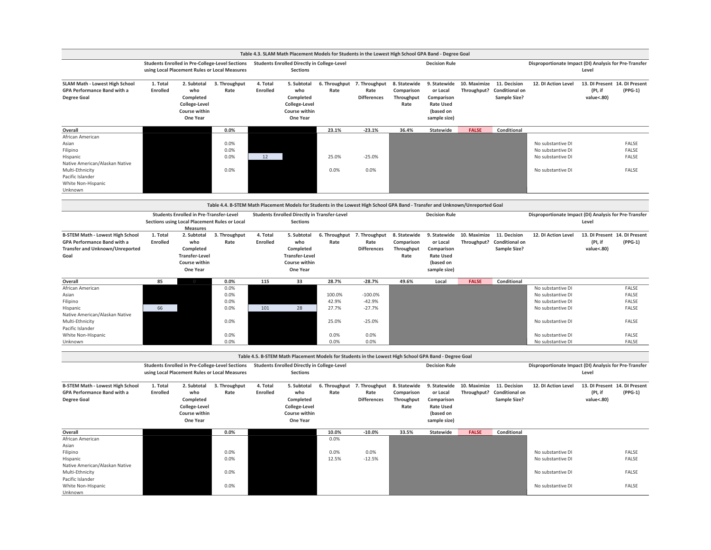|                                                                                                                                                             |                      |                                                                                                                    |                                                                                                                                |                      | Table 4.3. SLAM Math Placement Models for Students in the Lowest High School GPA Band - Degree Goal   |                                           |                                                       |                                                  |                                                                                         |              |                                                            |                                                                                                                            |                                                        |                                                    |
|-------------------------------------------------------------------------------------------------------------------------------------------------------------|----------------------|--------------------------------------------------------------------------------------------------------------------|--------------------------------------------------------------------------------------------------------------------------------|----------------------|-------------------------------------------------------------------------------------------------------|-------------------------------------------|-------------------------------------------------------|--------------------------------------------------|-----------------------------------------------------------------------------------------|--------------|------------------------------------------------------------|----------------------------------------------------------------------------------------------------------------------------|--------------------------------------------------------|----------------------------------------------------|
|                                                                                                                                                             |                      | using Local Placement Rules or Local Measures                                                                      | <b>Students Enrolled in Pre-College-Level Sections</b>                                                                         |                      | <b>Students Enrolled Directly in College-Level</b><br><b>Sections</b>                                 |                                           |                                                       |                                                  | <b>Decision Rule</b>                                                                    |              |                                                            | Disproportionate Impact (DI) Analysis for Pre-Transfer                                                                     | Level                                                  |                                                    |
| <b>SLAM Math - Lowest High School</b><br>GPA Performance Band with a<br><b>Degree Goal</b>                                                                  | 1. Total<br>Enrolled | 2. Subtotal<br>who<br>Completed<br>College-Level<br>Course within<br>One Year                                      | 3. Throughput<br>Rate                                                                                                          | 4. Total<br>Enrolled | 5. Subtotal<br>who<br>Completed<br>College-Level<br>Course within<br>One Year                         | 6. Throughput 7. Throughput<br>Rate       | Rate<br><b>Differences</b>                            | 8. Statewide<br>Comparison<br>Throughput<br>Rate | 9. Statewide<br>or Local<br>Comparison<br><b>Rate Used</b><br>(based on<br>sample size) | 10. Maximize | 11. Decision<br>Throughput? Conditional on<br>Sample Size? | 12. DI Action Level                                                                                                        | 13. DI Present 14. DI Present<br>(PI, if<br>value<.80) | $(PPG-1)$                                          |
| Overall                                                                                                                                                     |                      |                                                                                                                    | 0.0%                                                                                                                           |                      |                                                                                                       | 23.1%                                     | $-23.1%$                                              | 36.4%                                            | Statewide                                                                               | <b>FALSE</b> | Conditional                                                |                                                                                                                            |                                                        |                                                    |
| African American<br>Asian<br>Filipino<br>Hispanic<br>Native American/Alaskan Native<br>Multi-Ethnicity<br>Pacific Islander<br>White Non-Hispanic<br>Unknown |                      |                                                                                                                    | 0.0%<br>0.0%<br>0.0%<br>0.0%                                                                                                   | 12                   |                                                                                                       | 25.0%<br>0.0%                             | $-25.0%$<br>0.0%                                      |                                                  |                                                                                         |              |                                                            | No substantive DI<br>No substantive DI<br>No substantive DI<br>No substantive DI                                           |                                                        | <b>FALSE</b><br>FALSE<br>FALSE<br>FALSE            |
|                                                                                                                                                             |                      |                                                                                                                    |                                                                                                                                |                      |                                                                                                       |                                           |                                                       |                                                  |                                                                                         |              |                                                            |                                                                                                                            |                                                        |                                                    |
|                                                                                                                                                             |                      |                                                                                                                    | Table 4.4. B-STEM Math Placement Models for Students in the Lowest High School GPA Band - Transfer and Unknown/Unreported Goal |                      |                                                                                                       |                                           |                                                       |                                                  |                                                                                         |              |                                                            |                                                                                                                            |                                                        |                                                    |
|                                                                                                                                                             |                      | <b>Students Enrolled in Pre-Transfer-Level</b><br>Sections using Local Placement Rules or Local<br><b>Measures</b> |                                                                                                                                |                      | <b>Students Enrolled Directly in Transfer-Level</b><br><b>Sections</b>                                |                                           |                                                       |                                                  | <b>Decision Rule</b>                                                                    |              |                                                            | Disproportionate Impact (DI) Analysis for Pre-Transfer                                                                     | Level                                                  |                                                    |
| <b>B-STEM Math - Lowest High School</b><br><b>GPA Performance Band with a</b><br>Transfer and Unknown/Unreported<br>Goal                                    | 1. Total<br>Enrolled | 2. Subtotal<br>who<br>Completed<br><b>Transfer-Level</b><br>Course within<br>One Year                              | 3. Throughput<br>Rate                                                                                                          | 4. Total<br>Enrolled | 5. Subtotal<br>who<br>Completed<br><b>Transfer-Level</b><br>Course within<br>One Year                 | 6. Throughput 7. Throughput<br>Rate       | Rate<br><b>Differences</b>                            | 8. Statewide<br>Comparison<br>Throughput<br>Rate | 9. Statewide<br>or Local<br>Comparison<br><b>Rate Used</b><br>(based on<br>sample size) | 10. Maximize | 11. Decision<br>Throughput? Conditional on<br>Sample Size? | 12. DI Action Level                                                                                                        | 13. DI Present 14. DI Present<br>(PI, if<br>value<.80) | $(PPG-1)$                                          |
| Overall                                                                                                                                                     | 85                   |                                                                                                                    | 0.0%                                                                                                                           | 115                  | 33                                                                                                    | 28.7%                                     | $-28.7%$                                              | 49.6%                                            | Local                                                                                   | <b>FALSE</b> | Conditional                                                |                                                                                                                            |                                                        |                                                    |
| African American<br>Asian<br>Filipino<br>Hispanic<br>Native American/Alaskan Native<br>Multi-Ethnicity<br>Pacific Islander<br>White Non-Hispanic            | 66                   |                                                                                                                    | 0.0%<br>0.0%<br>0.0%<br>0.0%<br>0.0%<br>0.0%                                                                                   | 101                  | 28                                                                                                    | 100.0%<br>42.9%<br>27.7%<br>25.0%<br>0.0% | $-100.0%$<br>$-42.9%$<br>$-27.7%$<br>$-25.0%$<br>0.0% |                                                  |                                                                                         |              |                                                            | No substantive DI<br>No substantive DI<br>No substantive DI<br>No substantive DI<br>No substantive DI<br>No substantive DI |                                                        | FALSE<br>FALSE<br>FALSE<br>FALSE<br>FALSE<br>FALSE |
| Unknown                                                                                                                                                     |                      |                                                                                                                    | 0.0%                                                                                                                           |                      |                                                                                                       | 0.0%                                      | 0.0%                                                  |                                                  |                                                                                         |              |                                                            | No substantive DI                                                                                                          |                                                        | FALSE                                              |
|                                                                                                                                                             |                      |                                                                                                                    |                                                                                                                                |                      | Table 4.5. B-STEM Math Placement Models for Students in the Lowest High School GPA Band - Degree Goal |                                           |                                                       |                                                  |                                                                                         |              |                                                            |                                                                                                                            |                                                        |                                                    |
|                                                                                                                                                             |                      | using Local Placement Rules or Local Measures                                                                      | <b>Students Enrolled in Pre-College-Level Sections</b>                                                                         |                      | <b>Students Enrolled Directly in College-Level</b><br><b>Sections</b>                                 |                                           |                                                       |                                                  | <b>Decision Rule</b>                                                                    |              |                                                            | Disproportionate Impact (DI) Analysis for Pre-Transfer                                                                     | Level                                                  |                                                    |
| <b>B-STEM Math - Lowest High School</b><br>GPA Performance Band with a<br><b>Degree Goal</b>                                                                | 1. Total<br>Enrolled | 2. Subtotal<br>who<br>Completed<br>College-Level<br>Course within<br>One Year                                      | 3. Throughput<br>Rate                                                                                                          | 4. Total<br>Enrolled | 5. Subtotal<br>who<br>Completed<br>College-Level<br>Course within<br>One Year                         | 6. Throughput<br>Rate                     | 7. Throughput<br>Rate<br><b>Differences</b>           | 8. Statewide<br>Comparison<br>Throughput<br>Rate | 9. Statewide<br>or Local<br>Comparison<br><b>Rate Used</b><br>(based on<br>sample size) | 10. Maximize | 11. Decision<br>Throughput? Conditional on<br>Sample Size? | 12. DI Action Level                                                                                                        | 13. DI Present 14. DI Present<br>(PI, if<br>value<.80) | $(PPG-1)$                                          |
| Overall                                                                                                                                                     |                      |                                                                                                                    | 0.0%                                                                                                                           |                      |                                                                                                       | 10.0%                                     | $-10.0%$                                              | 33.5%                                            | Statewide                                                                               | <b>FALSE</b> | Conditional                                                |                                                                                                                            |                                                        |                                                    |
| African American<br>Asian<br>Filipino<br>Hispanic<br>Native American/Alaskan Native                                                                         |                      |                                                                                                                    | 0.0%<br>0.0%                                                                                                                   |                      |                                                                                                       | 0.0%<br>0.0%<br>12.5%                     | 0.0%<br>$-12.5%$                                      |                                                  |                                                                                         |              |                                                            | No substantive DI<br>No substantive DI                                                                                     |                                                        | FALSE<br>FALSE                                     |
| Multi-Ethnicity<br>Pacific Islander                                                                                                                         |                      |                                                                                                                    | 0.0%                                                                                                                           |                      |                                                                                                       |                                           |                                                       |                                                  |                                                                                         |              |                                                            | No substantive DI                                                                                                          |                                                        | FALSE                                              |
| White Non-Hispanic<br>Unknown                                                                                                                               |                      |                                                                                                                    | 0.0%                                                                                                                           |                      |                                                                                                       |                                           |                                                       |                                                  |                                                                                         |              |                                                            | No substantive DI                                                                                                          |                                                        | <b>FALSE</b>                                       |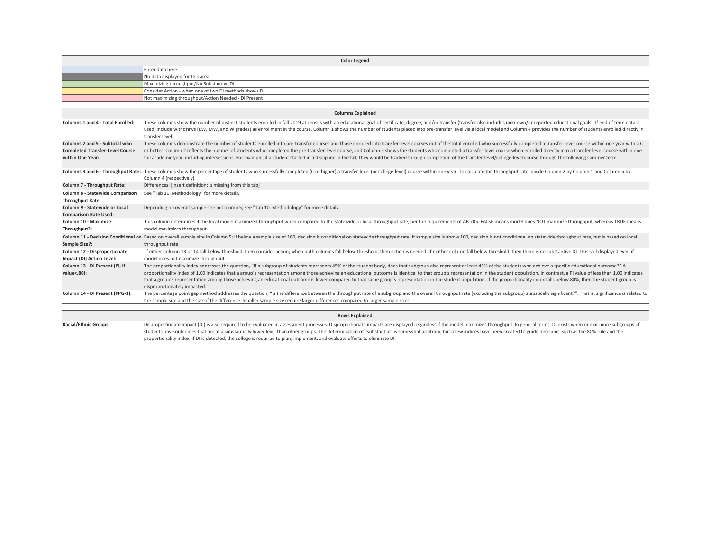<span id="page-11-0"></span>

|                                                                                              | <b>Color Legend</b>                                                                                                                                                                                                                                                                                                                                                                                                                                                                                                                                                                                                                                                                                                                |
|----------------------------------------------------------------------------------------------|------------------------------------------------------------------------------------------------------------------------------------------------------------------------------------------------------------------------------------------------------------------------------------------------------------------------------------------------------------------------------------------------------------------------------------------------------------------------------------------------------------------------------------------------------------------------------------------------------------------------------------------------------------------------------------------------------------------------------------|
|                                                                                              | Enter data here                                                                                                                                                                                                                                                                                                                                                                                                                                                                                                                                                                                                                                                                                                                    |
|                                                                                              | No data displayed for this area                                                                                                                                                                                                                                                                                                                                                                                                                                                                                                                                                                                                                                                                                                    |
|                                                                                              | Maximizing throughput/No Substantive DI                                                                                                                                                                                                                                                                                                                                                                                                                                                                                                                                                                                                                                                                                            |
|                                                                                              | Consider Action - when one of two DI methods shows DI                                                                                                                                                                                                                                                                                                                                                                                                                                                                                                                                                                                                                                                                              |
|                                                                                              | Not maximizing throughput/Action Needed - DI Present                                                                                                                                                                                                                                                                                                                                                                                                                                                                                                                                                                                                                                                                               |
|                                                                                              | <b>Columns Explained</b>                                                                                                                                                                                                                                                                                                                                                                                                                                                                                                                                                                                                                                                                                                           |
| <b>Columns 1 and 4 - Total Enrolled:</b>                                                     | These columns show the number of distinct students enrolled in fall 2019 at census with an educational goal of certificate, degree, and/or transfer (transfer also includes unknown/unreported educational goals). If end of t                                                                                                                                                                                                                                                                                                                                                                                                                                                                                                     |
|                                                                                              | used, include withdraws (EW, MW, and W grades) as enrollment in the course. Column 1 shows the number of students placed into pre-transfer level via a local model and Column 4 provides the number of students enrolled direc<br>transfer level.                                                                                                                                                                                                                                                                                                                                                                                                                                                                                  |
| Columns 2 and 5 - Subtotal who<br><b>Completed Transfer-Level Course</b><br>within One Year: | These columns demonstrate the number of students enrolled into pre-transfer courses and those enrolled into transfer-level courses out of the total enrolled who successfully completed a transfer-level course within one yea<br>or better. Column 2 reflects the number of students who completed the pre-transfer-level course, and Column 5 shows the students who completed a transfer-level course when enrolled directly into a transfer-level course wit<br>full academic year, including intersessions. For example, if a student started in a discipline in the fall, they would be tracked through completion of the transfer-level/college-level course through the following summer t                                 |
|                                                                                              | Columns 3 and 6 - Throughput Rate: These columns show the percentage of students who successfully completed (C or higher) a transfer-level (or college-level) course within one year. To calculate the throughput rate, divide<br>Column 4 (respectively).                                                                                                                                                                                                                                                                                                                                                                                                                                                                         |
| Column 7 - Throughput Rate:                                                                  | Differences: [insert definition; is missing from this tab]                                                                                                                                                                                                                                                                                                                                                                                                                                                                                                                                                                                                                                                                         |
| Column 8 - Statewide Comparison<br><b>Throughput Rate:</b>                                   | See "Tab 10. Methodology" for more details.                                                                                                                                                                                                                                                                                                                                                                                                                                                                                                                                                                                                                                                                                        |
| Column 9 - Statewide or Local<br><b>Comparison Rate Used:</b>                                | Depending on overall sample size in Column 5; see "Tab 10. Methodology" for more details.                                                                                                                                                                                                                                                                                                                                                                                                                                                                                                                                                                                                                                          |
| Column 10 - Maximize<br>Throughput?:                                                         | This column determines if the local model maximized throughput when compared to the statewide or local throughput rate, per the requirements of AB 705. FALSE means model does NOT maximize throughput, whereas TRUE means<br>model maximizes throughput.                                                                                                                                                                                                                                                                                                                                                                                                                                                                          |
| Sample Size?:                                                                                | Column 11 - Decision Conditional on Based on overall sample size in Column 5; if below a sample size of 100, decision is conditional on statewide throughput rate; if sample size is above 100, decision is not conditional on<br>throughput rate.                                                                                                                                                                                                                                                                                                                                                                                                                                                                                 |
| Column 12 - Disproportionate<br>Impact (DI) Action Level:                                    | If either Column 13 or 14 fall below threshold, then consider action; when both columns fall below threshold, then action is needed. If neither column fall below threshold, then there is no substantive DI. DI is still disp<br>model does not maximize throughput.                                                                                                                                                                                                                                                                                                                                                                                                                                                              |
| Column 13 - DI Present (PI, if<br>value<.80):                                                | The proportionality index addresses the question, "If a subgroup of students represents 45% of the student body, does that subgroup also represent at least 45% of the students who achieve a specific educational outcome?" A<br>proportionality index of 1.00 indicates that a group's representation among those achieving an educational outcome is identical to that group's representation in the student population. In contrast, a PI value of less than<br>that a group's representation among those achieving an educational outcome is lower compared to that same group's representation in the student population. If the proportionality index falls below 80%, then the student gro<br>disproportionately impacted. |
| Column 14 - DI Present (PPG-1):                                                              | The percentage point gap method addresses the question, "Is the difference between the throughput rate of a subgroup and the overall throughput rate (excluding the subgroup) statistically significant?". That is, significan<br>the sample size and the size of the difference. Smaller sample size require larger differences compared to larger sample sizes.                                                                                                                                                                                                                                                                                                                                                                  |
|                                                                                              | <b>Rows Explained</b>                                                                                                                                                                                                                                                                                                                                                                                                                                                                                                                                                                                                                                                                                                              |
| <b>Racial/Ethnic Groups:</b>                                                                 | Disproportionate impact (DI) is also required to be evaluated in assessment processes. Disproportionate impacts are displayed regardless if the model maximizes throughput. In general terms, DI exists when one or more subgr<br>students have outcomes that are at a substantially lower level than other groups. The determination of "substantial" is somewhat arbitrary, but a few indices have been created to guide decisions, such as the 80% rule and t<br>proportionality index. If DI is detected, the college is required to plan, implement, and evaluate efforts to eliminate DI.                                                                                                                                    |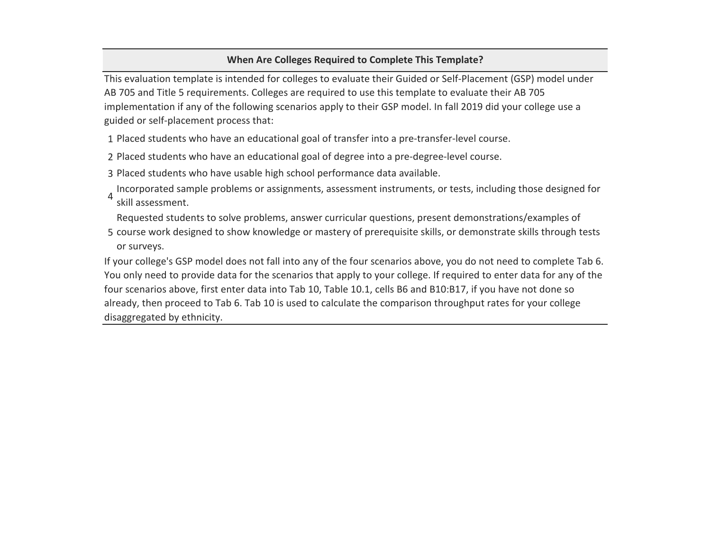# **When Are Colleges Required to Complete This Template?**

This evaluation template is intended for colleges to evaluate their Guided or Self-Placement (GSP) model under AB 705 and Title 5 requirements. Colleges are required to use this template to evaluate their AB 705 implementation if any of the following scenarios apply to their GSP model. In fall 2019 did your college use a guided or self-placement process that:

1 Placed students who have an educational goal of transfer into a pre-transfer-level course.

- 2 Placed students who have an educational goal of degree into a pre-degree-level course.
- 3 Placed students who have usable high school performance data available.
- $\Delta$ Incorporated sample problems or assignments, assessment instruments, or tests, including those designed for skill assessment.

Requested students to solve problems, answer curricular questions, present demonstrations/examples of

5 course work designed to show knowledge or mastery of prerequisite skills, or demonstrate skills through tests or surveys.

If your college's GSP model does not fall into any of the four scenarios above, you do not need to complete Tab 6. You only need to provide data for the scenarios that apply to your college. If required to enter data for any of the four scenarios above, first enter data into Tab 10, Table 10.1, cells B6 and B10:B17, if you have not done so already, then proceed to Tab 6. Tab 10 is used to calculate the comparison throughput rates for your college disaggregated by ethnicity.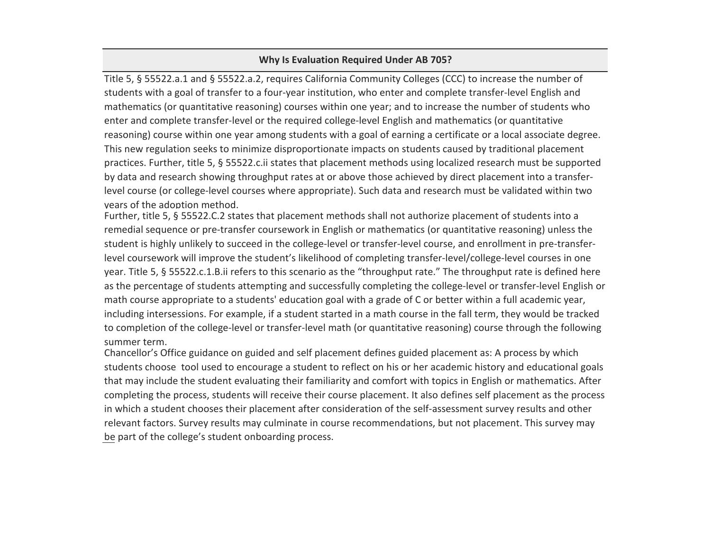### **Why Is Evaluation Required Under AB 705?**

Title 5, § 55522.a.1 and § 55522.a.2, requires California Community Colleges (CCC) to increase the number of students with a goal of transfer to a four-year institution, who enter and complete transfer-level English and mathematics (or quantitative reasoning) courses within one year; and to increase the number of students who enter and complete transfer-level or the required college-level English and mathematics (or quantitative reasoning) course within one year among students with a goal of earning a certificate or a local associate degree. This new regulation seeks to minimize disproportionate impacts on students caused by traditional placement practices. Further, title 5, § 55522.c.ii states that placement methods using localized research must be supported by data and research showing throughput rates at or above those achieved by direct placement into a transferlevel course (or college-level courses where appropriate). Such data and research must be validated within two years of the adoption method.

Further, title 5, § 55522.C.2 states that placement methods shall not authorize placement of students into a remedial sequence or pre-transfer coursework in English or mathematics (or quantitative reasoning) unless the student is highly unlikely to succeed in the college-level or transfer-level course, and enrollment in pre-transferlevel coursework will improve the student's likelihood of completing transfer-level/college-level courses in one year. Title 5, § 55522.c.1.B.ii refers to this scenario as the "throughput rate." The throughput rate is defined here as the percentage of students attempting and successfully completing the college-level or transfer-level English or math course appropriate to a students' education goal with a grade of C or better within a full academic year, including intersessions. For example, if a student started in a math course in the fall term, they would be tracked to completion of the college-level or transfer-level math (or quantitative reasoning) course through the following summer term.

Chancellor's Office guidance on guided and self placement defines guided placement as: A process by which students choose tool used to encourage a student to reflect on his or her academic history and educational goals that may include the student evaluating their familiarity and comfort with topics in English or mathematics. After completing the process, students will receive their course placement. It also defines self placement as the process in which a student chooses their placement after consideration of the self-assessment survey results and other relevant factors. Survey results may culminate in course recommendations, but not placement. This survey may be part of the college's student onboarding process.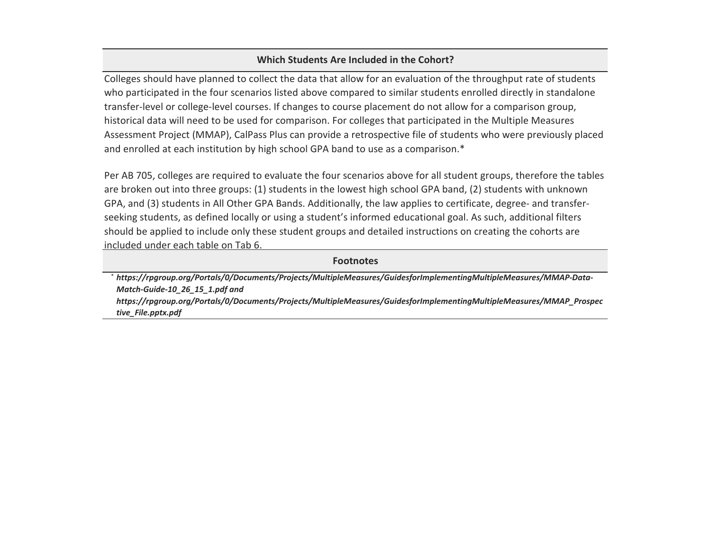# **Which Students Are Included in the Cohort?**

Colleges should have planned to collect the data that allow for an evaluation of the throughput rate of students who participated in the four scenarios listed above compared to similar students enrolled directly in standalone transfer-level or college-level courses. If changes to course placement do not allow for a comparison group, historical data will need to be used for comparison. For colleges that participated in the Multiple Measures Assessment Project (MMAP), CalPass Plus can provide a retrospective file of students who were previously placed and enrolled at each institution by high school GPA band to use as a comparison.\*

Per AB 705, colleges are required to evaluate the four scenarios above for all student groups, therefore the tables are broken out into three groups: (1) students in the lowest high school GPA band, (2) students with unknown GPA, and (3) students in All Other GPA Bands. Additionally, the law applies to certificate, degree- and transferseeking students, as defined locally or using a student's informed educational goal. As such, additional filters should be applied to include only these student groups and detailed instructions on creating the cohorts are included under each table on Tab 6.

### **Footnotes**

\* *[https://rpg](https://rpgroup.org/Portals/0/Documents/Projects/MultipleMeasures/GuidesforImplementingMultipleMeasures/MMAP-Data-Match-Guide-10_26_15_1.pdf)roup.org/Portals/0/Documents/Projects/MultipleMeasures/GuidesforImplementingMultipleMeasures/MMAP-Data-[Match-Guid](https://rpgroup.org/Portals/0/Documents/Projects/MultipleMeasures/GuidesforImplementingMultipleMeasures/MMAP-Data-Match-Guide-10_26_15_1.pdf)e-10\_26\_15\_1.pdf and [https://rpg](https://rpgroup.org/Portals/0/Documents/Projects/MultipleMeasures/GuidesforImplementingMultipleMeasures/MMAP_Prospective_File.pptx.pdf)roup.org/Portals/0/Documents/Projects/MultipleMeasures/GuidesforImplementingMultipleMeasures/MMAP\_Prospec [tive\\_File.pp](https://rpgroup.org/Portals/0/Documents/Projects/MultipleMeasures/GuidesforImplementingMultipleMeasures/MMAP_Prospective_File.pptx.pdf)tx.pdf*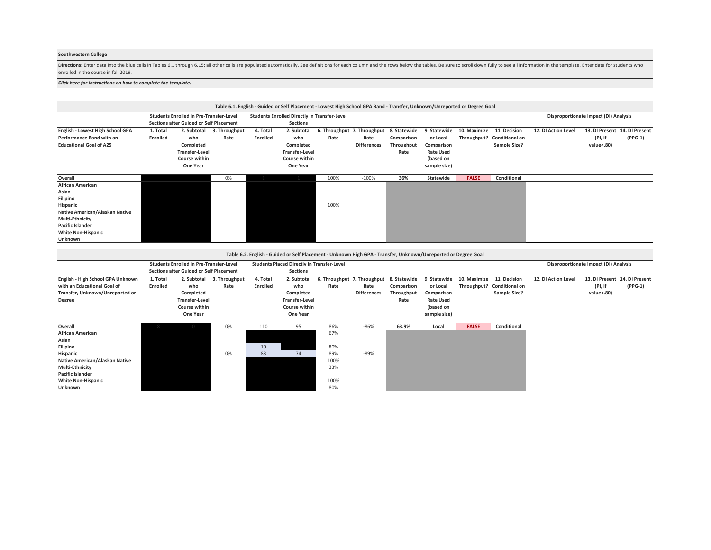### **Southwestern College**

Directions: Enter data into the blue cells in Tables 6.1 through 6.15; all other cells are populated automatically. See definitions for each column and the rows below the tables. Be sure to scroll down fully to see all inf enrolled in the course in fall 2019.

#### *[Click here for instructions on how to c](#page-19-0)omplete the template.*

|                                                                                                                                                                                         |                             |                                                                                                  |                       |                      |                                                                                       | Table 6.1. English - Guided or Self Placement - Lowest High School GPA Band - Transfer, Unknown/Unreported or Degree Goal |                            |                                  |                                                                                         |                             |                                                       |                     |                                                        |           |
|-----------------------------------------------------------------------------------------------------------------------------------------------------------------------------------------|-----------------------------|--------------------------------------------------------------------------------------------------|-----------------------|----------------------|---------------------------------------------------------------------------------------|---------------------------------------------------------------------------------------------------------------------------|----------------------------|----------------------------------|-----------------------------------------------------------------------------------------|-----------------------------|-------------------------------------------------------|---------------------|--------------------------------------------------------|-----------|
|                                                                                                                                                                                         |                             | <b>Students Enrolled in Pre-Transfer-Level</b><br><b>Sections after Guided or Self Placement</b> |                       |                      | <b>Students Enrolled Directly in Transfer-Level</b><br><b>Sections</b>                |                                                                                                                           |                            |                                  |                                                                                         |                             |                                                       |                     | Disproportionate Impact (DI) Analysis                  |           |
| English - Lowest High School GPA<br><b>Performance Band with an</b><br><b>Educational Goal of A25</b>                                                                                   | 1. Total<br><b>Enrolled</b> | 2. Subtotal<br>who<br>Completed<br><b>Transfer-Level</b><br><b>Course within</b><br>One Year     | 3. Throughput<br>Rate | 4. Total<br>Enrolled | 2. Subtotal<br>who<br>Completed<br><b>Transfer-Level</b><br>Course within<br>One Year | 6. Throughput 7. Throughput 8. Statewide<br>Rate                                                                          | Rate<br><b>Differences</b> | Comparison<br>Throughput<br>Rate | 9. Statewide<br>or Local<br>Comparison<br><b>Rate Used</b><br>(based on<br>sample size) | 10. Maximize<br>Throughput? | 11. Decision<br><b>Conditional on</b><br>Sample Size? | 12. DI Action Level | 13. DI Present 14. DI Present<br>(PI, if<br>value<.80) | $(PPG-1)$ |
| Overall                                                                                                                                                                                 |                             |                                                                                                  | 0%                    |                      |                                                                                       | 100%                                                                                                                      | $-100%$                    | 36%                              | Statewide                                                                               | <b>FALSE</b>                | Conditional                                           |                     |                                                        |           |
| <b>African American</b><br>Asian<br>Filipino<br>Hispanic<br>Native American/Alaskan Native<br><b>Multi-Ethnicity</b><br><b>Pacific Islander</b><br><b>White Non-Hispanic</b><br>Unknown |                             |                                                                                                  |                       |                      |                                                                                       | 100%                                                                                                                      |                            |                                  |                                                                                         |                             |                                                       |                     |                                                        |           |
|                                                                                                                                                                                         |                             |                                                                                                  |                       |                      |                                                                                       |                                                                                                                           |                            |                                  |                                                                                         |                             |                                                       |                     |                                                        |           |
|                                                                                                                                                                                         |                             |                                                                                                  |                       |                      |                                                                                       | Table 6.2. English - Guided or Self Placement - Unknown High GPA - Transfer, Unknown/Unreported or Degree Goal            |                            |                                  |                                                                                         |                             |                                                       |                     |                                                        |           |
|                                                                                                                                                                                         |                             | <b>Students Enrolled in Pre-Transfer-Level</b><br><b>Sections after Guided or Self Placement</b> |                       |                      | <b>Students Placed Directly in Transfer-Level</b><br><b>Sections</b>                  |                                                                                                                           |                            |                                  |                                                                                         |                             |                                                       |                     | Disproportionate Impact (DI) Analysis                  |           |
| English - High School GPA Unknown<br>with an Educational Goal of<br>Transfer, Unknown/Unreported or<br>Degree                                                                           | 1. Total<br>Enrolled        | 2. Subtotal<br>who<br>Completed<br><b>Transfer-Level</b><br><b>Course within</b><br>One Year     | 3. Throughput<br>Rate | 4. Total<br>Enrolled | 2. Subtotal<br>who<br>Completed<br><b>Transfer-Level</b><br>Course within<br>One Year | 6. Throughput 7. Throughput 8. Statewide<br>Rate                                                                          | Rate<br><b>Differences</b> | Comparison<br>Throughput<br>Rate | 9. Statewide<br>or Local<br>Comparison<br><b>Rate Used</b><br>(based on<br>sample size) | 10. Maximize<br>Throughput? | 11. Decision<br><b>Conditional on</b><br>Sample Size? | 12. DI Action Level | 13. DI Present 14. DI Present<br>(PI, if<br>value<.80) | $(PPG-1)$ |
| Overall                                                                                                                                                                                 |                             |                                                                                                  | 0%                    | 110                  | 95                                                                                    | 86%                                                                                                                       | $-86%$                     | 63.9%                            | Local                                                                                   | <b>FALSE</b>                | Conditional                                           |                     |                                                        |           |
| <b>African American</b><br>Asian<br>Filipino<br>Hispanic<br>Native American/Alaskan Native<br>Multi-Ethnicity<br>Pacific Islander<br><b>White Non-Hispanic</b><br>Unknown               |                             |                                                                                                  | 0%                    | 10<br>83             | 74                                                                                    | 67%<br>80%<br>89%<br>100%<br>33%<br>100%<br>80%                                                                           | $-89%$                     |                                  |                                                                                         |                             |                                                       |                     |                                                        |           |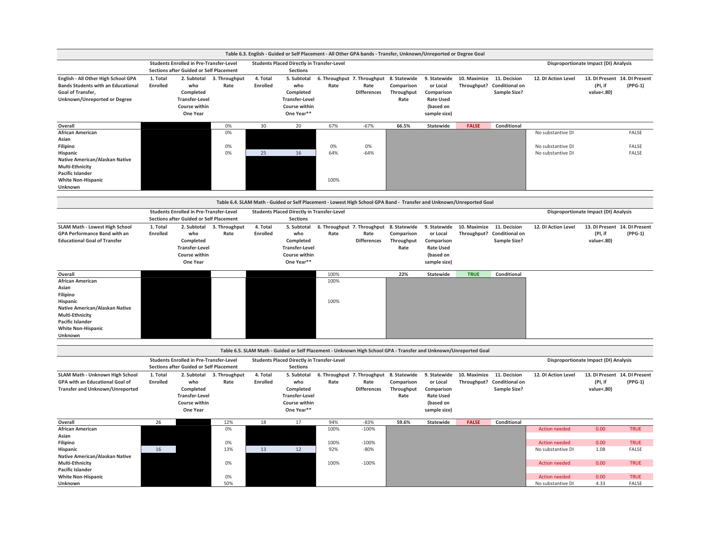|                                                                                                                                       |                             |                                                                                                  |                       |                      |                                                                                         | Table 6.3. English - Guided or Self Placement - All Other GPA bands - Transfer, Unknown/Unreported or Degree Goal    |                            |                                                  |                                                                                         |              |                                                                   |                      |                                                        |             |
|---------------------------------------------------------------------------------------------------------------------------------------|-----------------------------|--------------------------------------------------------------------------------------------------|-----------------------|----------------------|-----------------------------------------------------------------------------------------|----------------------------------------------------------------------------------------------------------------------|----------------------------|--------------------------------------------------|-----------------------------------------------------------------------------------------|--------------|-------------------------------------------------------------------|----------------------|--------------------------------------------------------|-------------|
|                                                                                                                                       |                             | <b>Students Enrolled in Pre-Transfer-Level</b><br><b>Sections after Guided or Self Placement</b> |                       |                      | <b>Students Placed Directly in Transfer-Level</b><br>Sections                           |                                                                                                                      |                            |                                                  |                                                                                         |              |                                                                   |                      | Disproportionate Impact (DI) Analysis                  |             |
| English - All Other High School GPA<br><b>Bands Students with an Educational</b><br>Goal of Transfer,<br>Unknown/Unreported or Degree | 1. Total<br><b>Enrolled</b> | 2. Subtotal<br>who<br>Completed<br><b>Transfer-Level</b><br>Course within<br>One Year            | 3. Throughput<br>Rate | 4. Total<br>Enrolled | 5. Subtotal<br>who<br>Completed<br><b>Transfer-Level</b><br>Course within<br>One Year** | 6. Throughput 7. Throughput<br>Rate                                                                                  | Rate<br><b>Differences</b> | 8. Statewide<br>Comparison<br>Throughput<br>Rate | 9. Statewide<br>or Local<br>Comparison<br><b>Rate Used</b><br>(based on<br>sample size) | 10. Maximize | 11. Decision<br>Throughput? Conditional on<br><b>Sample Size?</b> | 12. DI Action Level  | 13. DI Present 14. DI Present<br>(PI, if<br>value<.80) | $(PPG-1)$   |
| Overall                                                                                                                               |                             |                                                                                                  | 0%                    | 30                   | 20                                                                                      | 67%                                                                                                                  | $-67%$                     | 66.5%                                            | Statewide                                                                               | <b>FALSE</b> | Conditional                                                       |                      |                                                        |             |
| <b>African American</b>                                                                                                               |                             |                                                                                                  | 0%                    |                      |                                                                                         |                                                                                                                      |                            |                                                  |                                                                                         |              |                                                                   | No substantive DI    |                                                        | FALSE       |
| Asian                                                                                                                                 |                             |                                                                                                  |                       |                      |                                                                                         |                                                                                                                      |                            |                                                  |                                                                                         |              |                                                                   |                      |                                                        |             |
| Filipino                                                                                                                              |                             |                                                                                                  | 0%                    |                      |                                                                                         | 0%                                                                                                                   | 0%                         |                                                  |                                                                                         |              |                                                                   | No substantive DI    |                                                        | FALSE       |
| Hispanic                                                                                                                              |                             |                                                                                                  | 0%                    | 25                   | 16                                                                                      | 64%                                                                                                                  | $-64%$                     |                                                  |                                                                                         |              |                                                                   | No substantive DI    |                                                        | FALSE       |
| Native American/Alaskan Native                                                                                                        |                             |                                                                                                  |                       |                      |                                                                                         |                                                                                                                      |                            |                                                  |                                                                                         |              |                                                                   |                      |                                                        |             |
| Multi-Ethnicity<br><b>Pacific Islander</b>                                                                                            |                             |                                                                                                  |                       |                      |                                                                                         |                                                                                                                      |                            |                                                  |                                                                                         |              |                                                                   |                      |                                                        |             |
| <b>White Non-Hispanic</b>                                                                                                             |                             |                                                                                                  |                       |                      |                                                                                         | 100%                                                                                                                 |                            |                                                  |                                                                                         |              |                                                                   |                      |                                                        |             |
| Unknown                                                                                                                               |                             |                                                                                                  |                       |                      |                                                                                         |                                                                                                                      |                            |                                                  |                                                                                         |              |                                                                   |                      |                                                        |             |
|                                                                                                                                       |                             |                                                                                                  |                       |                      |                                                                                         |                                                                                                                      |                            |                                                  |                                                                                         |              |                                                                   |                      |                                                        |             |
|                                                                                                                                       |                             |                                                                                                  |                       |                      |                                                                                         | Table 6.4. SLAM Math - Guided or Self Placement - Lowest High School GPA Band - Transfer and Unknown/Unreported Goal |                            |                                                  |                                                                                         |              |                                                                   |                      |                                                        |             |
|                                                                                                                                       |                             | <b>Students Enrolled in Pre-Transfer-Level</b><br>Sections after Guided or Self Placement        |                       |                      | <b>Students Placed Directly in Transfer-Level</b><br><b>Sections</b>                    |                                                                                                                      |                            |                                                  |                                                                                         |              |                                                                   |                      | Disproportionate Impact (DI) Analysis                  |             |
| <b>SLAM Math - Lowest High School</b>                                                                                                 | 1. Total                    | 2. Subtotal                                                                                      | 3. Throughput         | 4. Total             | 5. Subtotal                                                                             | 6. Throughput 7. Throughput 8. Statewide                                                                             |                            |                                                  | 9. Statewide                                                                            | 10. Maximize | 11. Decision                                                      | 12. DI Action Level  | 13. DI Present 14. DI Present                          |             |
| <b>GPA Performance Band with an</b>                                                                                                   | <b>Enrolled</b>             | who                                                                                              | Rate                  | Enrolled             | who                                                                                     | Rate                                                                                                                 | Rate                       | Comparison                                       | or Local                                                                                |              | Throughput? Conditional on                                        |                      | (PI, if                                                | $(PPG-1)$   |
| <b>Educational Goal of Transfer</b>                                                                                                   |                             | Completed                                                                                        |                       |                      | Completed                                                                               |                                                                                                                      | <b>Differences</b>         | Throughput                                       | Comparison                                                                              |              | Sample Size?                                                      |                      | value<.80)                                             |             |
|                                                                                                                                       |                             | <b>Transfer-Level</b>                                                                            |                       |                      | <b>Transfer-Level</b>                                                                   |                                                                                                                      |                            | Rate                                             | <b>Rate Used</b>                                                                        |              |                                                                   |                      |                                                        |             |
|                                                                                                                                       |                             | Course within                                                                                    |                       |                      | Course within                                                                           |                                                                                                                      |                            |                                                  | (based on                                                                               |              |                                                                   |                      |                                                        |             |
|                                                                                                                                       |                             | One Year                                                                                         |                       |                      | One Year**                                                                              |                                                                                                                      |                            |                                                  | sample size)                                                                            |              |                                                                   |                      |                                                        |             |
| Overall                                                                                                                               |                             |                                                                                                  |                       |                      |                                                                                         | 100%                                                                                                                 |                            | 22%                                              | <b>Statewide</b>                                                                        | <b>TRUE</b>  | Conditional                                                       |                      |                                                        |             |
| African American                                                                                                                      |                             |                                                                                                  |                       |                      |                                                                                         | 100%                                                                                                                 |                            |                                                  |                                                                                         |              |                                                                   |                      |                                                        |             |
| Asian                                                                                                                                 |                             |                                                                                                  |                       |                      |                                                                                         |                                                                                                                      |                            |                                                  |                                                                                         |              |                                                                   |                      |                                                        |             |
| Filipino                                                                                                                              |                             |                                                                                                  |                       |                      |                                                                                         |                                                                                                                      |                            |                                                  |                                                                                         |              |                                                                   |                      |                                                        |             |
| Hispanic                                                                                                                              |                             |                                                                                                  |                       |                      |                                                                                         | 100%                                                                                                                 |                            |                                                  |                                                                                         |              |                                                                   |                      |                                                        |             |
| Native American/Alaskan Native                                                                                                        |                             |                                                                                                  |                       |                      |                                                                                         |                                                                                                                      |                            |                                                  |                                                                                         |              |                                                                   |                      |                                                        |             |
| Multi-Ethnicity                                                                                                                       |                             |                                                                                                  |                       |                      |                                                                                         |                                                                                                                      |                            |                                                  |                                                                                         |              |                                                                   |                      |                                                        |             |
| <b>Pacific Islander</b>                                                                                                               |                             |                                                                                                  |                       |                      |                                                                                         |                                                                                                                      |                            |                                                  |                                                                                         |              |                                                                   |                      |                                                        |             |
| <b>White Non-Hispanic</b>                                                                                                             |                             |                                                                                                  |                       |                      |                                                                                         |                                                                                                                      |                            |                                                  |                                                                                         |              |                                                                   |                      |                                                        |             |
| Unknown                                                                                                                               |                             |                                                                                                  |                       |                      |                                                                                         |                                                                                                                      |                            |                                                  |                                                                                         |              |                                                                   |                      |                                                        |             |
|                                                                                                                                       |                             |                                                                                                  |                       |                      |                                                                                         | Table 6.5. SLAM Math - Guided or Self Placement - Unknown High School GPA - Transfer and Unknown/Unreported Goal     |                            |                                                  |                                                                                         |              |                                                                   |                      |                                                        |             |
|                                                                                                                                       |                             | <b>Students Enrolled in Pre-Transfer-Level</b>                                                   |                       |                      | <b>Students Placed Directly in Transfer-Level</b>                                       |                                                                                                                      |                            |                                                  |                                                                                         |              |                                                                   |                      | Disproportionate Impact (DI) Analysis                  |             |
| <b>SLAM Math - Unknown High School</b>                                                                                                | 1. Total                    | Sections after Guided or Self Placement<br>2. Subtotal                                           |                       | 4. Total             | <b>Sections</b><br>5. Subtotal                                                          |                                                                                                                      |                            | 8. Statewide                                     | 9. Statewide                                                                            | 10. Maximize | 11. Decision                                                      | 12. DI Action Level  | 13. DI Present 14. DI Present                          |             |
| GPA with an Educational Goal of                                                                                                       | Enrolled                    | who                                                                                              | 3. Throughput<br>Rate | Enrolled             | who                                                                                     | 6. Throughput 7. Throughput<br>Rate                                                                                  | Rate                       | Comparison                                       | or Local                                                                                |              | Throughput? Conditional on                                        |                      | (PI, if                                                | $(PPG-1)$   |
| <b>Transfer and Unknown/Unreported</b>                                                                                                |                             | Completed                                                                                        |                       |                      | Completed                                                                               |                                                                                                                      | <b>Differences</b>         | Throughput                                       | Comparison                                                                              |              | Sample Size?                                                      |                      | value<.80)                                             |             |
|                                                                                                                                       |                             | <b>Transfer-Level</b>                                                                            |                       |                      | <b>Transfer-Level</b>                                                                   |                                                                                                                      |                            | Rate                                             | <b>Rate Used</b>                                                                        |              |                                                                   |                      |                                                        |             |
|                                                                                                                                       |                             | Course within                                                                                    |                       |                      | Course within                                                                           |                                                                                                                      |                            |                                                  | (based on                                                                               |              |                                                                   |                      |                                                        |             |
|                                                                                                                                       |                             | One Year                                                                                         |                       |                      | One Year**                                                                              |                                                                                                                      |                            |                                                  | sample size)                                                                            |              |                                                                   |                      |                                                        |             |
| Overall                                                                                                                               | 26                          |                                                                                                  | 12%                   | 18                   | 17                                                                                      | 94%                                                                                                                  | $-83%$                     | 59.6%                                            | Statewide                                                                               | <b>FALSE</b> | Conditional                                                       |                      |                                                        |             |
| <b>African American</b>                                                                                                               |                             |                                                                                                  | 0%                    |                      |                                                                                         | 100%                                                                                                                 | $-100%$                    |                                                  |                                                                                         |              |                                                                   | <b>Action needed</b> | 0.00                                                   | <b>TRUE</b> |
| Asian                                                                                                                                 |                             |                                                                                                  |                       |                      |                                                                                         |                                                                                                                      |                            |                                                  |                                                                                         |              |                                                                   |                      |                                                        |             |
| Filipino                                                                                                                              |                             |                                                                                                  | 0%                    |                      |                                                                                         | 100%                                                                                                                 | $-100%$                    |                                                  |                                                                                         |              |                                                                   | <b>Action needed</b> | 0.00                                                   | <b>TRUE</b> |
| Hispanic                                                                                                                              | 16                          |                                                                                                  | 13%                   | 13                   | 12                                                                                      | 92%                                                                                                                  | $-80%$                     |                                                  |                                                                                         |              |                                                                   | No substantive DI    | 1.08                                                   | FALSE       |
| Native American/Alaskan Native<br>Multi-Ethnicity                                                                                     |                             |                                                                                                  | 0%                    |                      |                                                                                         | 100%                                                                                                                 | $-100%$                    |                                                  |                                                                                         |              |                                                                   | <b>Action needed</b> | 0.00                                                   | <b>TRUE</b> |
| <b>Pacific Islander</b>                                                                                                               |                             |                                                                                                  |                       |                      |                                                                                         |                                                                                                                      |                            |                                                  |                                                                                         |              |                                                                   |                      |                                                        |             |
| <b>White Non-Hispanic</b>                                                                                                             |                             |                                                                                                  | 0%                    |                      |                                                                                         |                                                                                                                      |                            |                                                  |                                                                                         |              |                                                                   | <b>Action needed</b> | 0.00                                                   | <b>TRUE</b> |
| Unknown                                                                                                                               |                             |                                                                                                  | 50%                   |                      |                                                                                         |                                                                                                                      |                            |                                                  |                                                                                         |              |                                                                   | No substantive DI    | 4.33                                                   | FALSE       |
|                                                                                                                                       |                             |                                                                                                  |                       |                      |                                                                                         |                                                                                                                      |                            |                                                  |                                                                                         |              |                                                                   |                      |                                                        |             |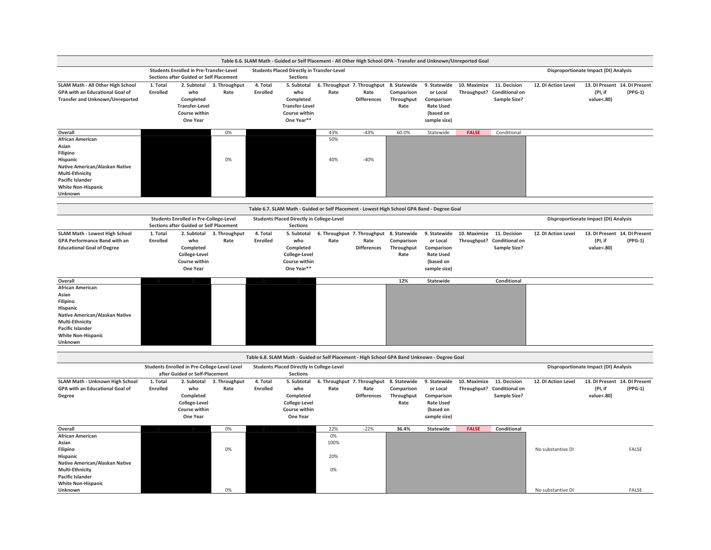|                                                                                                                                                                                         |                             |                                                                                                  |                       |                             | Table 6.6. SLAM Math - Guided or Self Placement - All Other High School GPA - Transfer and Unknown/Unreported Goal |                                                  |                            |                                                  |                                                                                         |                             |                                                              |                     |                                                        |           |
|-----------------------------------------------------------------------------------------------------------------------------------------------------------------------------------------|-----------------------------|--------------------------------------------------------------------------------------------------|-----------------------|-----------------------------|--------------------------------------------------------------------------------------------------------------------|--------------------------------------------------|----------------------------|--------------------------------------------------|-----------------------------------------------------------------------------------------|-----------------------------|--------------------------------------------------------------|---------------------|--------------------------------------------------------|-----------|
|                                                                                                                                                                                         |                             | <b>Students Enrolled in Pre-Transfer-Level</b><br><b>Sections after Guided or Self Placement</b> |                       |                             | <b>Students Placed Directly in Transfer-Level</b><br><b>Sections</b>                                               |                                                  |                            |                                                  |                                                                                         |                             |                                                              |                     | Disproportionate Impact (DI) Analysis                  |           |
| SLAM Math - All Other High School<br>GPA with an Educational Goal of<br>Transfer and Unknown/Unreported                                                                                 | 1. Total<br><b>Enrolled</b> | 2. Subtotal<br>who<br>Completed<br><b>Transfer-Level</b><br>Course within<br>One Year            | 3. Throughput<br>Rate | 4. Total<br><b>Enrolled</b> | 5. Subtotal<br>who<br>Completed<br><b>Transfer-Level</b><br>Course within<br>One Year**                            | 6. Throughput 7. Throughput<br>Rate              | Rate<br><b>Differences</b> | 8. Statewide<br>Comparison<br>Throughput<br>Rate | 9. Statewide<br>or Local<br>Comparison<br><b>Rate Used</b><br>(based on<br>sample size) | 10. Maximize<br>Throughput? | 11. Decision<br><b>Conditional on</b><br><b>Sample Size?</b> | 12. DI Action Level | 13. DI Present 14. DI Present<br>(PI, if<br>value<.80) | $(PPG-1)$ |
| Overall                                                                                                                                                                                 |                             |                                                                                                  | 0%                    |                             |                                                                                                                    | 43%                                              | $-43%$                     | 60.0%                                            | Statewide                                                                               | <b>FALSE</b>                | Conditional                                                  |                     |                                                        |           |
| <b>African American</b><br>Asian<br>Filipino<br>Hispanic<br>Native American/Alaskan Native<br>Multi-Ethnicity<br><b>Pacific Islander</b><br><b>White Non-Hispanic</b><br>Unknown        |                             |                                                                                                  | 0%                    |                             |                                                                                                                    | 50%<br>40%                                       | $-40%$                     |                                                  |                                                                                         |                             |                                                              |                     |                                                        |           |
|                                                                                                                                                                                         |                             |                                                                                                  |                       |                             | Table 6.7. SLAM Math - Guided or Self Placement - Lowest High School GPA Band - Degree Goal                        |                                                  |                            |                                                  |                                                                                         |                             |                                                              |                     |                                                        |           |
|                                                                                                                                                                                         |                             | <b>Students Enrolled in Pre-College-Level</b><br>Sections after Guided or Self Placement         |                       |                             | <b>Students Placed Directly in College-Level</b><br><b>Sections</b>                                                |                                                  |                            |                                                  |                                                                                         |                             |                                                              |                     | Disproportionate Impact (DI) Analysis                  |           |
| <b>SLAM Math - Lowest High School</b><br>GPA Performance Band with an<br><b>Educational Goal of Degree</b>                                                                              | 1. Total<br><b>Enrolled</b> | 2. Subtotal<br>who<br>Completed<br>College-Level<br>Course within<br>One Year                    | 3. Throughput<br>Rate | 4. Total<br>Enrolled        | 5. Subtotal<br>who<br>Completed<br>College-Level<br>Course within<br>One Year**                                    | 6. Throughput 7. Throughput<br>Rate              | Rate<br><b>Differences</b> | 8. Statewide<br>Comparison<br>Throughput<br>Rate | 9. Statewide<br>or Local<br>Comparison<br><b>Rate Used</b><br>(based on<br>sample size) | 10. Maximize                | 11. Decision<br>Throughput? Conditional on<br>Sample Size?   | 12. DI Action Level | 13. DI Present 14. DI Present<br>(PI, if<br>value<.80) | $(PPG-1)$ |
| Overall                                                                                                                                                                                 |                             |                                                                                                  |                       |                             |                                                                                                                    |                                                  |                            | 12%                                              | Statewide                                                                               |                             | Conditional                                                  |                     |                                                        |           |
| <b>African American</b><br>Asian<br>Filipino<br>Hispanic<br>Native American/Alaskan Native<br><b>Multi-Ethnicity</b><br><b>Pacific Islander</b><br><b>White Non-Hispanic</b><br>Unknown |                             |                                                                                                  |                       |                             |                                                                                                                    |                                                  |                            |                                                  |                                                                                         |                             |                                                              |                     |                                                        |           |
|                                                                                                                                                                                         |                             |                                                                                                  |                       |                             | Table 6.8. SLAM Math - Guided or Self Placement - High School GPA Band Unknown - Degree Goal                       |                                                  |                            |                                                  |                                                                                         |                             |                                                              |                     |                                                        |           |
|                                                                                                                                                                                         |                             | <b>Students Enrolled in Pre-College-Level Level</b><br>after Guided or Self-Placement            |                       |                             | <b>Students Placed Directly in College-Level</b><br><b>Sections</b>                                                |                                                  |                            |                                                  |                                                                                         |                             |                                                              |                     | Disproportionate Impact (DI) Analysis                  |           |
| SLAM Math - Unknown High School<br>GPA with an Educational Goal of<br>Degree                                                                                                            | 1. Total<br>Enrolled        | 2. Subtotal<br>who<br>Completed<br>College-Level<br>Course within<br>One Year                    | 3. Throughput<br>Rate | 4. Total<br>Enrolled        | 5. Subtotal<br>who<br>Completed<br>College-Level<br>Course within<br>One Year                                      | 6. Throughput 7. Throughput 8. Statewide<br>Rate | Rate<br><b>Differences</b> | Comparison<br>Throughput<br>Rate                 | 9. Statewide<br>or Local<br>Comparison<br><b>Rate Used</b><br>(based on<br>sample size) | 10. Maximize 11. Decision   | Throughput? Conditional on<br>Sample Size?                   | 12. DI Action Level | 13. DI Present 14. DI Present<br>(PI, if<br>value<.80) | $(PPG-1)$ |
| Overall                                                                                                                                                                                 |                             |                                                                                                  | 0%                    |                             |                                                                                                                    | 22%                                              | $-22%$                     | 36.4%                                            | Statewide                                                                               | <b>FALSE</b>                | Conditional                                                  |                     |                                                        |           |
| <b>African American</b><br>Asian<br>Filipino<br>Hispanic<br>Native American/Alaskan Native<br><b>Multi-Ethnicity</b><br><b>Pacific Islander</b>                                         |                             |                                                                                                  | 0%                    |                             |                                                                                                                    | 0%<br>100%<br>20%<br>0%                          |                            |                                                  |                                                                                         |                             |                                                              | No substantive DI   |                                                        | FALSE     |
| <b>White Non-Hispanic</b>                                                                                                                                                               |                             |                                                                                                  |                       |                             |                                                                                                                    |                                                  |                            |                                                  |                                                                                         |                             |                                                              |                     |                                                        |           |
| Unknown                                                                                                                                                                                 |                             |                                                                                                  | 0%                    |                             |                                                                                                                    |                                                  |                            |                                                  |                                                                                         |                             |                                                              | No substantive DI   |                                                        | FALSE     |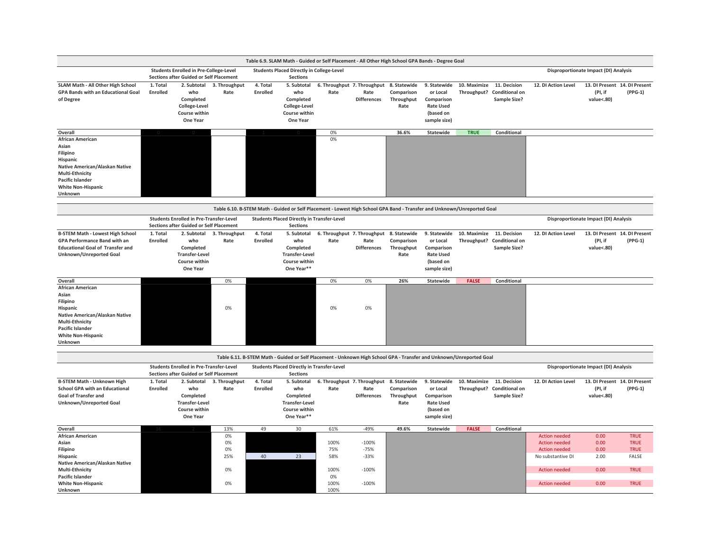|                                                                                                                                                                           |                             |                                                                                                  |                                   |                             | Table 6.9. SLAM Math - Guided or Self Placement - All Other High School GPA Bands - Degree Goal                         |                                                  |                             |                                                  |                                                                                         |                                            |                                                              |                                                                                           |                                                        |                                                           |
|---------------------------------------------------------------------------------------------------------------------------------------------------------------------------|-----------------------------|--------------------------------------------------------------------------------------------------|-----------------------------------|-----------------------------|-------------------------------------------------------------------------------------------------------------------------|--------------------------------------------------|-----------------------------|--------------------------------------------------|-----------------------------------------------------------------------------------------|--------------------------------------------|--------------------------------------------------------------|-------------------------------------------------------------------------------------------|--------------------------------------------------------|-----------------------------------------------------------|
|                                                                                                                                                                           |                             | <b>Students Enrolled in Pre-College-Level</b><br><b>Sections after Guided or Self Placement</b>  |                                   |                             | <b>Students Placed Directly in College-Level</b><br><b>Sections</b>                                                     |                                                  |                             |                                                  |                                                                                         |                                            |                                                              |                                                                                           | Disproportionate Impact (DI) Analysis                  |                                                           |
| SLAM Math - All Other High School<br><b>GPA Bands with an Educational Goal</b><br>of Degree                                                                               | 1. Total<br>Enrolled        | 2. Subtotal<br>who<br>Completed<br>College-Level<br>Course within<br>One Year                    | 3. Throughput<br>Rate             | 4. Total<br>Enrolled        | 5. Subtotal<br>who<br>Completed<br>College-Level<br>Course within<br>One Year                                           | 6. Throughput 7. Throughput 8. Statewide<br>Rate | Rate<br><b>Differences</b>  | Comparison<br>Throughput<br>Rate                 | 9. Statewide<br>or Local<br>Comparison<br><b>Rate Used</b><br>(based on<br>sample size) | 10. Maximize<br>Throughput? Conditional on | 11. Decision<br>Sample Size?                                 | 12. DI Action Level                                                                       | 13. DI Present 14. DI Present<br>(PI, if<br>value<.80) | $(PPG-1)$                                                 |
| Overall                                                                                                                                                                   |                             |                                                                                                  |                                   |                             |                                                                                                                         | 0%                                               |                             | 36.6%                                            | Statewide                                                                               | <b>TRUE</b>                                | Conditional                                                  |                                                                                           |                                                        |                                                           |
| African American<br>Asian<br>Filipino<br>Hispanic<br>Native American/Alaskan Native<br>Multi-Ethnicity<br>Pacific Islander<br><b>White Non-Hispanic</b><br>Unknown        |                             |                                                                                                  |                                   |                             |                                                                                                                         | 0%                                               |                             |                                                  |                                                                                         |                                            |                                                              |                                                                                           |                                                        |                                                           |
|                                                                                                                                                                           |                             |                                                                                                  |                                   |                             | Table 6.10. B-STEM Math - Guided or Self Placement - Lowest High School GPA Band - Transfer and Unknown/Unreported Goal |                                                  |                             |                                                  |                                                                                         |                                            |                                                              |                                                                                           |                                                        |                                                           |
|                                                                                                                                                                           |                             | <b>Students Enrolled in Pre-Transfer-Level</b><br><b>Sections after Guided or Self Placement</b> |                                   |                             | <b>Students Placed Directly in Transfer-Level</b><br><b>Sections</b>                                                    |                                                  |                             |                                                  |                                                                                         |                                            |                                                              |                                                                                           | Disproportionate Impact (DI) Analysis                  |                                                           |
| <b>B-STEM Math - Lowest High School</b><br><b>GPA Performance Band with an</b><br><b>Educational Goal of Transfer and</b><br>Unknown/Unreported Goal                      | 1. Total<br><b>Enrolled</b> | who<br>Completed<br><b>Transfer-Level</b><br>Course within<br>One Year                           | 2. Subtotal 3. Throughput<br>Rate | 4. Total<br><b>Enrolled</b> | 5. Subtotal<br>who<br>Completed<br><b>Transfer-Level</b><br>Course within<br>One Year**                                 | 6. Throughput 7. Throughput<br>Rate              | Rate<br><b>Differences</b>  | 8. Statewide<br>Comparison<br>Throughput<br>Rate | 9. Statewide<br>or Local<br>Comparison<br><b>Rate Used</b><br>(based on<br>sample size) | 10. Maximize<br>Throughput? Conditional on | 11. Decision<br><b>Sample Size?</b>                          | 12. DI Action Level                                                                       | 13. DI Present 14. DI Present<br>(PI, if<br>value<.80) | $(PPG-1)$                                                 |
| Overall                                                                                                                                                                   |                             |                                                                                                  | 0%                                |                             |                                                                                                                         | 0%                                               | 0%                          | 26%                                              | Statewide                                                                               | <b>FALSE</b>                               | Conditional                                                  |                                                                                           |                                                        |                                                           |
| African American<br>Asian<br>Filipino<br>Hispanic<br>Native American/Alaskan Native<br>Multi-Ethnicity<br><b>Pacific Islander</b><br><b>White Non-Hispanic</b><br>Unknown |                             |                                                                                                  | 0%                                |                             |                                                                                                                         | 0%                                               | 0%                          |                                                  |                                                                                         |                                            |                                                              |                                                                                           |                                                        |                                                           |
|                                                                                                                                                                           |                             |                                                                                                  |                                   |                             | Table 6.11. B-STEM Math - Guided or Self Placement - Unknown High School GPA - Transfer and Unknown/Unreported Goal     |                                                  |                             |                                                  |                                                                                         |                                            |                                                              |                                                                                           |                                                        |                                                           |
|                                                                                                                                                                           |                             | <b>Students Enrolled in Pre-Transfer-Level</b><br><b>Sections after Guided or Self Placement</b> |                                   |                             | <b>Students Placed Directly in Transfer-Level</b><br><b>Sections</b>                                                    |                                                  |                             |                                                  |                                                                                         |                                            |                                                              |                                                                                           | Disproportionate Impact (DI) Analysis                  |                                                           |
| <b>B-STEM Math - Unknown High</b><br><b>School GPA with an Educational</b><br><b>Goal of Transfer and</b><br>Unknown/Unreported Goal                                      | 1. Total<br><b>Enrolled</b> | who<br>Completed<br><b>Transfer-Level</b><br>Course within<br>One Year                           | 2. Subtotal 3. Throughput<br>Rate | 4. Total<br><b>Enrolled</b> | 5. Subtotal<br>who<br>Completed<br><b>Transfer-Level</b><br>Course within<br>One Year**                                 | 6. Throughput 7. Throughput<br>Rate              | Rate<br>Differences         | 8. Statewide<br>Comparison<br>Throughput<br>Rate | 9. Statewide<br>or Local<br>Comparison<br><b>Rate Used</b><br>(based on<br>sample size) | 10. Maximize<br>Throughput?                | 11. Decision<br><b>Conditional on</b><br><b>Sample Size?</b> | 12. DI Action Level                                                                       | 13. DI Present 14. DI Present<br>(PI, if<br>value<.80) | $(PPG-1)$                                                 |
| Overall                                                                                                                                                                   |                             |                                                                                                  | 13%                               | 49                          | 30                                                                                                                      | 61%                                              | $-49%$                      | 49.6%                                            | <b>Statewide</b>                                                                        | <b>FALSE</b>                               | Conditional                                                  |                                                                                           |                                                        |                                                           |
| African American<br>Asian<br>Filipino                                                                                                                                     |                             |                                                                                                  | 0%<br>0%<br>0%<br>25%             | 40                          | 23                                                                                                                      | 100%<br>75%<br>58%                               | $-100%$<br>$-75%$<br>$-33%$ |                                                  |                                                                                         |                                            |                                                              | <b>Action needed</b><br><b>Action needed</b><br><b>Action needed</b><br>No substantive DI | 0.00<br>0.00<br>0.00<br>2.00                           | <b>TRUE</b><br><b>TRUE</b><br><b>TRUE</b><br><b>FALSE</b> |
| Hispanic                                                                                                                                                                  |                             |                                                                                                  |                                   |                             |                                                                                                                         |                                                  |                             |                                                  |                                                                                         |                                            |                                                              |                                                                                           |                                                        |                                                           |
| Native American/Alaskan Native<br>Multi-Ethnicity<br><b>Pacific Islander</b><br><b>White Non-Hispanic</b>                                                                 |                             |                                                                                                  | 0%<br>0%                          |                             |                                                                                                                         | 100%<br>0%<br>100%                               | $-100%$<br>$-100%$          |                                                  |                                                                                         |                                            |                                                              | <b>Action needed</b><br><b>Action needed</b>                                              | 0.00<br>0.00                                           | <b>TRUE</b><br><b>TRUE</b>                                |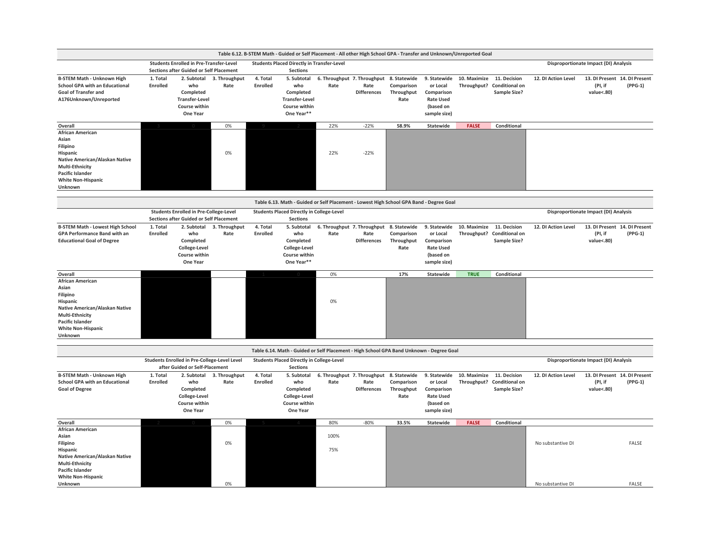<span id="page-19-0"></span>

|                                                                                                                                                                                  |                      |                                                                                                  |                                   |                      |                                                                                         | Table 6.12. B-STEM Math - Guided or Self Placement - All other High School GPA - Transfer and Unknown/Unreported Goal |                            |                                  |                                                                                         |              |                                                                   |                     |                                       |                                            |
|----------------------------------------------------------------------------------------------------------------------------------------------------------------------------------|----------------------|--------------------------------------------------------------------------------------------------|-----------------------------------|----------------------|-----------------------------------------------------------------------------------------|-----------------------------------------------------------------------------------------------------------------------|----------------------------|----------------------------------|-----------------------------------------------------------------------------------------|--------------|-------------------------------------------------------------------|---------------------|---------------------------------------|--------------------------------------------|
|                                                                                                                                                                                  |                      | <b>Students Enrolled in Pre-Transfer-Level</b><br><b>Sections after Guided or Self Placement</b> |                                   |                      | <b>Students Placed Directly in Transfer-Level</b><br><b>Sections</b>                    |                                                                                                                       |                            |                                  |                                                                                         |              |                                                                   |                     | Disproportionate Impact (DI) Analysis |                                            |
| <b>B-STEM Math - Unknown High</b><br><b>School GPA with an Educational</b><br><b>Goal of Transfer and</b><br>A176Unknown/Unreported                                              | 1. Total<br>Enrolled | who<br>Completed<br><b>Transfer-Level</b><br>Course within<br>One Year                           | 2. Subtotal 3. Throughput<br>Rate | 4. Total<br>Enrolled | 5. Subtotal<br>who<br>Completed<br><b>Transfer-Level</b><br>Course within<br>One Year** | 6. Throughput 7. Throughput 8. Statewide<br>Rate                                                                      | Rate<br>Differences        | Comparison<br>Throughput<br>Rate | 9. Statewide<br>or Local<br>Comparison<br><b>Rate Used</b><br>(based on<br>sample size) | 10. Maximize | 11. Decision<br>Throughput? Conditional on<br><b>Sample Size?</b> | 12. DI Action Level | (PI, if<br>value<.80)                 | 13. DI Present 14. DI Present<br>$(PPG-1)$ |
| Overall                                                                                                                                                                          |                      |                                                                                                  | 0%                                |                      |                                                                                         | 22%                                                                                                                   | $-22%$                     | 58.9%                            | <b>Statewide</b>                                                                        | <b>FALSE</b> | Conditional                                                       |                     |                                       |                                            |
| <b>African American</b><br>Asian<br>Filipino<br>Hispanic<br>Native American/Alaskan Native<br>Multi-Ethnicity<br><b>Pacific Islander</b><br><b>White Non-Hispanic</b><br>Unknown |                      |                                                                                                  | 0%                                |                      |                                                                                         | 22%                                                                                                                   | $-22%$                     |                                  |                                                                                         |              |                                                                   |                     |                                       |                                            |
|                                                                                                                                                                                  |                      |                                                                                                  |                                   |                      |                                                                                         | Table 6.13. Math - Guided or Self Placement - Lowest High School GPA Band - Degree Goal                               |                            |                                  |                                                                                         |              |                                                                   |                     |                                       |                                            |
|                                                                                                                                                                                  |                      | <b>Students Enrolled in Pre-College-Level</b><br><b>Sections after Guided or Self Placement</b>  |                                   |                      | <b>Students Placed Directly in College-Level</b><br><b>Sections</b>                     |                                                                                                                       |                            |                                  |                                                                                         |              |                                                                   |                     | Disproportionate Impact (DI) Analysis |                                            |
| <b>B-STEM Math - Lowest High School</b><br>GPA Performance Band with an<br><b>Educational Goal of Degree</b>                                                                     | 1. Total<br>Enrolled | 2. Subtotal<br>who<br>Completed<br>College-Level<br>Course within<br>One Year                    | 3. Throughput<br>Rate             | 4. Total<br>Enrolled | 5. Subtotal<br>who<br>Completed<br>College-Level<br>Course within<br>One Year**         | 6. Throughput 7. Throughput 8. Statewide<br>Rate                                                                      | Rate<br><b>Differences</b> | Comparison<br>Throughput<br>Rate | 9. Statewide<br>or Local<br>Comparison<br><b>Rate Used</b><br>(based on<br>sample size) | 10. Maximize | 11. Decision<br>Throughput? Conditional on<br><b>Sample Size?</b> | 12. DI Action Level | (PI, if<br>value<.80)                 | 13. DI Present 14. DI Present<br>$(PPG-1)$ |
| Overall                                                                                                                                                                          |                      |                                                                                                  |                                   |                      |                                                                                         | 0%                                                                                                                    |                            | 17%                              | <b>Statewide</b>                                                                        | <b>TRUE</b>  | Conditional                                                       |                     |                                       |                                            |
| <b>African American</b><br>Asian<br>Filipino<br>Hispanic<br>Native American/Alaskan Native<br>Multi-Ethnicity<br><b>Pacific Islander</b><br><b>White Non-Hispanic</b><br>Unknown |                      |                                                                                                  |                                   |                      |                                                                                         | 0%                                                                                                                    |                            |                                  |                                                                                         |              |                                                                   |                     |                                       |                                            |
|                                                                                                                                                                                  |                      |                                                                                                  |                                   |                      |                                                                                         | Table 6.14. Math - Guided or Self Placement - High School GPA Band Unknown - Degree Goal                              |                            |                                  |                                                                                         |              |                                                                   |                     |                                       |                                            |
|                                                                                                                                                                                  |                      | Students Enrolled in Pre-College-Level Level<br>after Guided or Self-Placement                   |                                   |                      | <b>Students Placed Directly in College-Level</b><br><b>Sections</b>                     |                                                                                                                       |                            |                                  |                                                                                         |              |                                                                   |                     | Disproportionate Impact (DI) Analysis |                                            |
| <b>B-STEM Math - Unknown High</b><br><b>School GPA with an Educational</b><br><b>Goal of Degree</b>                                                                              | 1. Total<br>Enrolled | 2. Subtotal<br>who<br>Completed<br>College-Level<br>Course within<br>One Year                    | 3. Throughput<br>Rate             | 4. Total<br>Enrolled | 5. Subtotal<br>who<br>Completed<br>College-Level<br>Course within<br>One Year           | 6. Throughput 7. Throughput 8. Statewide<br>Rate                                                                      | Rate<br><b>Differences</b> | Comparison<br>Throughput<br>Rate | 9. Statewide<br>or Local<br>Comparison<br><b>Rate Used</b><br>(based on<br>sample size) | 10. Maximize | 11. Decision<br>Throughput? Conditional on<br><b>Sample Size?</b> | 12. DI Action Level | (PI, if<br>value<.80)                 | 13. DI Present 14. DI Present<br>$(PPG-1)$ |
| Overall                                                                                                                                                                          |                      |                                                                                                  | 0%                                |                      |                                                                                         | 80%                                                                                                                   | $-80%$                     | 33.5%                            | <b>Statewide</b>                                                                        | <b>FALSE</b> | Conditional                                                       |                     |                                       |                                            |
| <b>African American</b><br>Asian<br>Filipino<br>Hispanic<br>Native American/Alaskan Native<br>Multi-Ethnicity<br><b>Pacific Islander</b>                                         |                      |                                                                                                  | 0%                                |                      |                                                                                         | 100%<br>75%                                                                                                           |                            |                                  |                                                                                         |              |                                                                   | No substantive DI   |                                       | FALSE                                      |
| <b>White Non-Hispanic</b><br>Unknown                                                                                                                                             |                      |                                                                                                  | 0%                                |                      |                                                                                         |                                                                                                                       |                            |                                  |                                                                                         |              |                                                                   | No substantive DI   |                                       | FALSE                                      |
|                                                                                                                                                                                  |                      |                                                                                                  |                                   |                      |                                                                                         |                                                                                                                       |                            |                                  |                                                                                         |              |                                                                   |                     |                                       |                                            |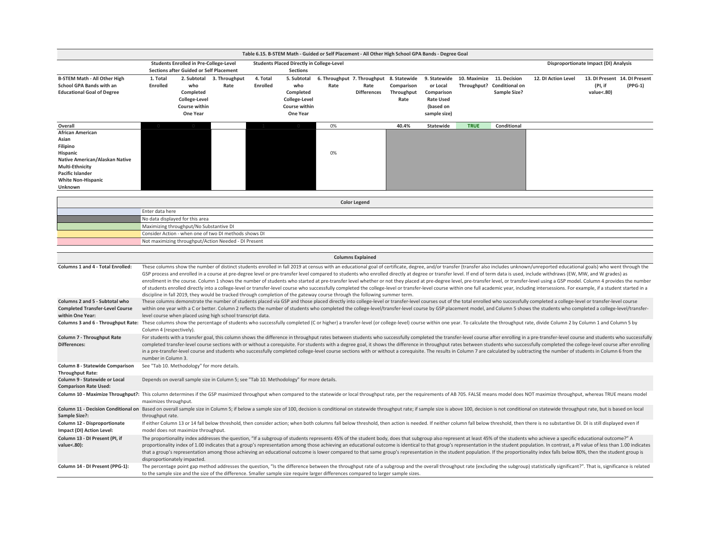|                                                                                                                                                                                                                                |                              |                                                |                                                                                                                                    |                 |                                                  | Table 6.15. B-STEM Math - Guided or Self Placement - All Other High School GPA Bands - Degree Goal |                            |                          |                        |              |                                       |                                                                                                                                                                                                                                |                                       |         |
|--------------------------------------------------------------------------------------------------------------------------------------------------------------------------------------------------------------------------------|------------------------------|------------------------------------------------|------------------------------------------------------------------------------------------------------------------------------------|-----------------|--------------------------------------------------|----------------------------------------------------------------------------------------------------|----------------------------|--------------------------|------------------------|--------------|---------------------------------------|--------------------------------------------------------------------------------------------------------------------------------------------------------------------------------------------------------------------------------|---------------------------------------|---------|
|                                                                                                                                                                                                                                |                              | <b>Students Enrolled in Pre-College-Level</b>  |                                                                                                                                    |                 | <b>Students Placed Directly in College-Level</b> |                                                                                                    |                            |                          |                        |              |                                       |                                                                                                                                                                                                                                | Disproportionate Impact (DI) Analysis |         |
|                                                                                                                                                                                                                                |                              | <b>Sections after Guided or Self Placement</b> |                                                                                                                                    |                 | <b>Sections</b>                                  |                                                                                                    |                            |                          |                        |              |                                       |                                                                                                                                                                                                                                |                                       |         |
| <b>B-STEM Math - All Other High</b>                                                                                                                                                                                            | 1. Total                     |                                                | 2. Subtotal 3. Throughput                                                                                                          | 4. Total        | 5. Subtotal                                      | 6. Throughput 7. Throughput 8. Statewide                                                           |                            |                          | 9. Statewide           | 10. Maximize | 11. Decision                          | 12. DI Action Level                                                                                                                                                                                                            | 13. DI Present 14. DI Present         |         |
| School GPA Bands with an<br><b>Educational Goal of Degree</b>                                                                                                                                                                  | <b>Enrolled</b>              | who<br>Completed                               | Rate                                                                                                                               | <b>Enrolled</b> | who<br>Completed                                 | Rate                                                                                               | Rate<br><b>Differences</b> | Comparison<br>Throughput | or Local<br>Comparison | Throughput?  | <b>Conditional on</b><br>Sample Size? |                                                                                                                                                                                                                                | (PI, if<br>value<.80)                 | (PPG-1) |
|                                                                                                                                                                                                                                |                              | College-Level                                  |                                                                                                                                    |                 | College-Level                                    |                                                                                                    |                            | Rate                     | <b>Rate Used</b>       |              |                                       |                                                                                                                                                                                                                                |                                       |         |
|                                                                                                                                                                                                                                |                              | Course within                                  |                                                                                                                                    |                 | Course within                                    |                                                                                                    |                            |                          | (based on              |              |                                       |                                                                                                                                                                                                                                |                                       |         |
|                                                                                                                                                                                                                                |                              | One Year                                       |                                                                                                                                    |                 | One Year                                         |                                                                                                    |                            |                          | sample size)           |              |                                       |                                                                                                                                                                                                                                |                                       |         |
| Overall                                                                                                                                                                                                                        |                              |                                                |                                                                                                                                    |                 |                                                  | 0%                                                                                                 |                            | 40.4%                    | Statewide              | <b>TRUE</b>  | Conditional                           |                                                                                                                                                                                                                                |                                       |         |
| <b>African American</b>                                                                                                                                                                                                        |                              |                                                |                                                                                                                                    |                 |                                                  |                                                                                                    |                            |                          |                        |              |                                       |                                                                                                                                                                                                                                |                                       |         |
| Asian                                                                                                                                                                                                                          |                              |                                                |                                                                                                                                    |                 |                                                  |                                                                                                    |                            |                          |                        |              |                                       |                                                                                                                                                                                                                                |                                       |         |
| Filipino                                                                                                                                                                                                                       |                              |                                                |                                                                                                                                    |                 |                                                  |                                                                                                    |                            |                          |                        |              |                                       |                                                                                                                                                                                                                                |                                       |         |
| Hispanic<br>Native American/Alaskan Native                                                                                                                                                                                     |                              |                                                |                                                                                                                                    |                 |                                                  | 0%                                                                                                 |                            |                          |                        |              |                                       |                                                                                                                                                                                                                                |                                       |         |
| <b>Multi-Ethnicity</b>                                                                                                                                                                                                         |                              |                                                |                                                                                                                                    |                 |                                                  |                                                                                                    |                            |                          |                        |              |                                       |                                                                                                                                                                                                                                |                                       |         |
| <b>Pacific Islander</b>                                                                                                                                                                                                        |                              |                                                |                                                                                                                                    |                 |                                                  |                                                                                                    |                            |                          |                        |              |                                       |                                                                                                                                                                                                                                |                                       |         |
| <b>White Non-Hispanic</b>                                                                                                                                                                                                      |                              |                                                |                                                                                                                                    |                 |                                                  |                                                                                                    |                            |                          |                        |              |                                       |                                                                                                                                                                                                                                |                                       |         |
| Unknown                                                                                                                                                                                                                        |                              |                                                |                                                                                                                                    |                 |                                                  |                                                                                                    |                            |                          |                        |              |                                       |                                                                                                                                                                                                                                |                                       |         |
|                                                                                                                                                                                                                                |                              |                                                |                                                                                                                                    |                 |                                                  |                                                                                                    | <b>Color Legend</b>        |                          |                        |              |                                       |                                                                                                                                                                                                                                |                                       |         |
|                                                                                                                                                                                                                                | Enter data here              |                                                |                                                                                                                                    |                 |                                                  |                                                                                                    |                            |                          |                        |              |                                       |                                                                                                                                                                                                                                |                                       |         |
|                                                                                                                                                                                                                                |                              | No data displayed for this area                |                                                                                                                                    |                 |                                                  |                                                                                                    |                            |                          |                        |              |                                       |                                                                                                                                                                                                                                |                                       |         |
|                                                                                                                                                                                                                                |                              | Maximizing throughput/No Substantive DI        |                                                                                                                                    |                 |                                                  |                                                                                                    |                            |                          |                        |              |                                       |                                                                                                                                                                                                                                |                                       |         |
|                                                                                                                                                                                                                                |                              |                                                | Consider Action - when one of two DI methods shows DI                                                                              |                 |                                                  |                                                                                                    |                            |                          |                        |              |                                       |                                                                                                                                                                                                                                |                                       |         |
|                                                                                                                                                                                                                                |                              |                                                | Not maximizing throughput/Action Needed - DI Present                                                                               |                 |                                                  |                                                                                                    |                            |                          |                        |              |                                       |                                                                                                                                                                                                                                |                                       |         |
|                                                                                                                                                                                                                                |                              |                                                |                                                                                                                                    |                 |                                                  |                                                                                                    | <b>Columns Explained</b>   |                          |                        |              |                                       |                                                                                                                                                                                                                                |                                       |         |
| Columns 1 and 4 - Total Enrolled:                                                                                                                                                                                              |                              |                                                |                                                                                                                                    |                 |                                                  |                                                                                                    |                            |                          |                        |              |                                       | These columns show the number of distinct students enrolled in fall 2019 at census with an educational goal of certificate, degree, and/or transfer (transfer also includes unknown/unreported educational goals) who went thr |                                       |         |
|                                                                                                                                                                                                                                |                              |                                                |                                                                                                                                    |                 |                                                  |                                                                                                    |                            |                          |                        |              |                                       | GSP process and enrolled in a course at pre-degree level or pre-transfer level compared to students who enrolled directly at degree or transfer level. If end of term data is used, include withdraws (EW, MW, and W grades) a |                                       |         |
|                                                                                                                                                                                                                                |                              |                                                |                                                                                                                                    |                 |                                                  |                                                                                                    |                            |                          |                        |              |                                       | enrollment in the course. Column 1 shows the number of students who started at pre-transfer level whether or not they placed at pre-degree level, pre-transfer level, or transfer-level using a GSP model. Column 4 provides t |                                       |         |
|                                                                                                                                                                                                                                |                              |                                                | discipline in fall 2019, they would be tracked through completion of the gateway course through the following summer term.         |                 |                                                  |                                                                                                    |                            |                          |                        |              |                                       | of students enrolled directly into a college-level or transfer-level course who successfully completed the college-level or transfer-level course within one full academic year, including intersessions. For example, if a st |                                       |         |
| Columns 2 and 5 - Subtotal who                                                                                                                                                                                                 |                              |                                                |                                                                                                                                    |                 |                                                  |                                                                                                    |                            |                          |                        |              |                                       | These columns demonstrate the number of students placed via GSP and those placed directly into college-level or transfer-level courses out of the total enrolled who successfully completed a college-level or transfer-level  |                                       |         |
| <b>Completed Transfer-Level Course</b>                                                                                                                                                                                         |                              |                                                |                                                                                                                                    |                 |                                                  |                                                                                                    |                            |                          |                        |              |                                       | within one year with a C or better. Column 2 reflects the number of students who completed the college-level/transfer-level course by GSP placement model, and Column 5 shows the students who completed a college-level/trans |                                       |         |
| within One Year:                                                                                                                                                                                                               |                              |                                                | level course when placed using high school transcript data.                                                                        |                 |                                                  |                                                                                                    |                            |                          |                        |              |                                       |                                                                                                                                                                                                                                |                                       |         |
| Columns 3 and 6 - Throughput Rate:                                                                                                                                                                                             | Column 4 (respectively).     |                                                |                                                                                                                                    |                 |                                                  |                                                                                                    |                            |                          |                        |              |                                       | These columns show the percentage of students who successfully completed (C or higher) a transfer-level (or college-level) course within one year. To calculate the throughput rate, divide Column 2 by Column 1 and Column 5  |                                       |         |
| Column 7 - Throughput Rate                                                                                                                                                                                                     |                              |                                                |                                                                                                                                    |                 |                                                  |                                                                                                    |                            |                          |                        |              |                                       | For students with a transfer goal, this column shows the difference in throughput rates between students who successfully completed the transfer-level course after enrolling in a pre-transfer-level course and students who  |                                       |         |
| Differences:                                                                                                                                                                                                                   |                              |                                                |                                                                                                                                    |                 |                                                  |                                                                                                    |                            |                          |                        |              |                                       | completed transfer-level course sections with or without a corequisite. For students with a degree goal, it shows the difference in throughput rates between students who successfully completed the college-level course afte |                                       |         |
|                                                                                                                                                                                                                                |                              |                                                |                                                                                                                                    |                 |                                                  |                                                                                                    |                            |                          |                        |              |                                       | in a pre-transfer-level course and students who successfully completed college-level course sections with or without a corequisite. The results in Column 7 are calculated by subtracting the number of students in Column 6 f |                                       |         |
| Column 8 - Statewide Comparison                                                                                                                                                                                                | number in Column 3.          | See "Tab 10. Methodology" for more details.    |                                                                                                                                    |                 |                                                  |                                                                                                    |                            |                          |                        |              |                                       |                                                                                                                                                                                                                                |                                       |         |
| <b>Throughput Rate:</b>                                                                                                                                                                                                        |                              |                                                |                                                                                                                                    |                 |                                                  |                                                                                                    |                            |                          |                        |              |                                       |                                                                                                                                                                                                                                |                                       |         |
| Column 9 - Statewide or Local<br><b>Comparison Rate Used:</b>                                                                                                                                                                  |                              |                                                | Depends on overall sample size in Column 5; see "Tab 10. Methodology" for more details.                                            |                 |                                                  |                                                                                                    |                            |                          |                        |              |                                       |                                                                                                                                                                                                                                |                                       |         |
| Column 10 - Maximize Throughput?: This column determines if the GSP maximized throughput when compared to the statewide or local throughput rate, per the requirements of AB 705. FALSE means model does NOT maximize throughp |                              |                                                |                                                                                                                                    |                 |                                                  |                                                                                                    |                            |                          |                        |              |                                       |                                                                                                                                                                                                                                |                                       |         |
| Column 11 - Decision Conditional on Based on overall sample size in Column 5; if below a sample size of 100, decision is conditional on statewide throughput rate; if sample size is above 100, decision is not conditional on | maximizes throughput.        |                                                |                                                                                                                                    |                 |                                                  |                                                                                                    |                            |                          |                        |              |                                       |                                                                                                                                                                                                                                |                                       |         |
| Sample Size?:                                                                                                                                                                                                                  | throughput rate.             |                                                |                                                                                                                                    |                 |                                                  |                                                                                                    |                            |                          |                        |              |                                       |                                                                                                                                                                                                                                |                                       |         |
| Column 12 - Disproportionate                                                                                                                                                                                                   |                              |                                                |                                                                                                                                    |                 |                                                  |                                                                                                    |                            |                          |                        |              |                                       | If either Column 13 or 14 fall below threshold, then consider action; when both columns fall below threshold, then action is needed. If neither column fall below threshold, then there is no substantive DI. DI is still disp |                                       |         |
| Impact (DI) Action Level:                                                                                                                                                                                                      |                              | model does not maximize throughput.            |                                                                                                                                    |                 |                                                  |                                                                                                    |                            |                          |                        |              |                                       |                                                                                                                                                                                                                                |                                       |         |
| Column 13 - DI Present (PI, if                                                                                                                                                                                                 |                              |                                                |                                                                                                                                    |                 |                                                  |                                                                                                    |                            |                          |                        |              |                                       | The proportionality index addresses the question, "If a subgroup of students represents 45% of the student body, does that subgroup also represent at least 45% of the students who achieve a specific educational outcome?" A |                                       |         |
| value<.80):                                                                                                                                                                                                                    |                              |                                                |                                                                                                                                    |                 |                                                  |                                                                                                    |                            |                          |                        |              |                                       | proportionality index of 1.00 indicates that a group's representation among those achieving an educational outcome is identical to that group's representation in the student population. In contrast, a PI value of less than |                                       |         |
|                                                                                                                                                                                                                                | disproportionately impacted. |                                                |                                                                                                                                    |                 |                                                  |                                                                                                    |                            |                          |                        |              |                                       | that a group's representation among those achieving an educational outcome is lower compared to that same group's representation in the student population. If the proportionality index falls below 80%, then the student gro |                                       |         |
| Column 14 - DI Present (PPG-1):                                                                                                                                                                                                |                              |                                                |                                                                                                                                    |                 |                                                  |                                                                                                    |                            |                          |                        |              |                                       | The percentage point gap method addresses the question, "Is the difference between the throughput rate of a subgroup and the overall throughput rate (excluding the subgroup) statistically significant?". That is, significan |                                       |         |
|                                                                                                                                                                                                                                |                              |                                                | to the sample size and the size of the difference. Smaller sample size require larger differences compared to larger sample sizes. |                 |                                                  |                                                                                                    |                            |                          |                        |              |                                       |                                                                                                                                                                                                                                |                                       |         |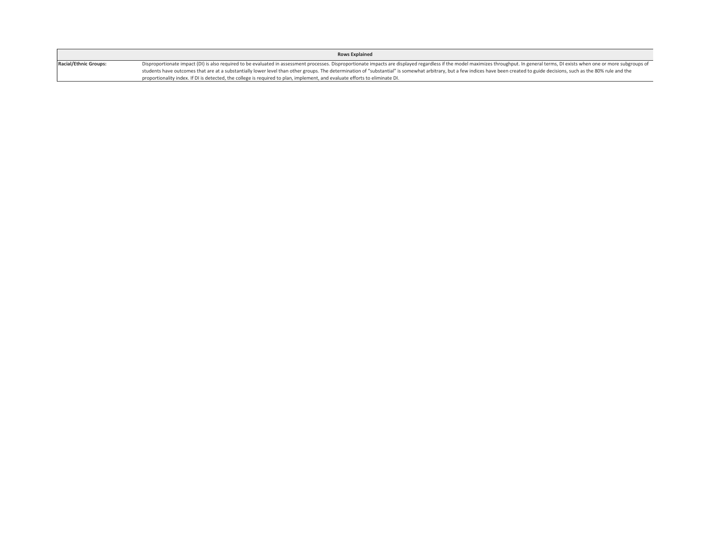|                              | <b>Rows Explained</b>                                                                                                                                                                                                          |
|------------------------------|--------------------------------------------------------------------------------------------------------------------------------------------------------------------------------------------------------------------------------|
| <b>Racial/Ethnic Groups:</b> | Disproportionate impact (DI) is also required to be evaluated in assessment processes. Disproportionate impacts are displayed regardless if the model maximizes throughput. In general terms, DI exists when one or more subgr |
|                              | students have outcomes that are at a substantially lower level than other groups. The determination of "substantial" is somewhat arbitrary, but a few indices have been created to guide decisions, such as the 80% rule and t |
|                              | proportionality index. If DI is detected, the college is required to plan, implement, and evaluate efforts to eliminate DI.                                                                                                    |

 $\mathsf{L}$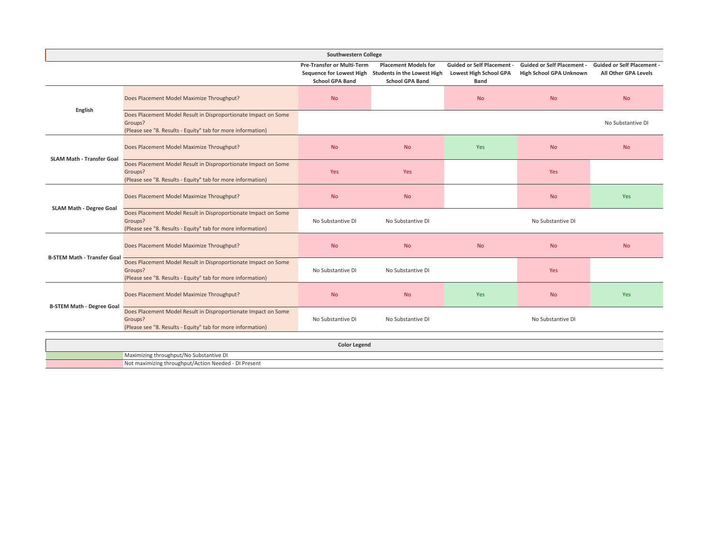|                                    |                                                                                                                                          | Southwestern College                                        |                                                                                                               |                                                                            |                                                              |                                                           |  |  |  |
|------------------------------------|------------------------------------------------------------------------------------------------------------------------------------------|-------------------------------------------------------------|---------------------------------------------------------------------------------------------------------------|----------------------------------------------------------------------------|--------------------------------------------------------------|-----------------------------------------------------------|--|--|--|
|                                    |                                                                                                                                          | <b>Pre-Transfer or Multi-Term</b><br><b>School GPA Band</b> | <b>Placement Models for</b><br>Sequence for Lowest High Students in the Lowest High<br><b>School GPA Band</b> | <b>Guided or Self Placement -</b><br><b>Lowest High School GPA</b><br>Band | <b>Guided or Self Placement -</b><br>High School GPA Unknown | <b>Guided or Self Placement -</b><br>All Other GPA Levels |  |  |  |
| English                            | Does Placement Model Maximize Throughput?                                                                                                | <b>No</b>                                                   |                                                                                                               | <b>No</b>                                                                  | <b>No</b>                                                    | <b>No</b>                                                 |  |  |  |
|                                    | Does Placement Model Result in Disproportionate Impact on Some<br>Groups?<br>(Please see "8. Results - Equity" tab for more information) |                                                             |                                                                                                               |                                                                            |                                                              | No Substantive DI                                         |  |  |  |
| <b>SLAM Math - Transfer Goal</b>   | Does Placement Model Maximize Throughput?                                                                                                | <b>No</b>                                                   | <b>No</b>                                                                                                     | Yes                                                                        | <b>No</b>                                                    | <b>No</b>                                                 |  |  |  |
|                                    | Does Placement Model Result in Disproportionate Impact on Some<br>Groups?<br>(Please see "8. Results - Equity" tab for more information) | Yes                                                         | Yes                                                                                                           |                                                                            | Yes                                                          |                                                           |  |  |  |
| SLAM Math - Degree Goal            | Does Placement Model Maximize Throughput?                                                                                                | <b>No</b>                                                   | <b>No</b>                                                                                                     |                                                                            | <b>No</b>                                                    | Yes                                                       |  |  |  |
|                                    | Does Placement Model Result in Disproportionate Impact on Some<br>Groups?<br>(Please see "8. Results - Equity" tab for more information) | No Substantive DI                                           | No Substantive DI                                                                                             |                                                                            | No Substantive DI                                            |                                                           |  |  |  |
| <b>B-STEM Math - Transfer Goal</b> | Does Placement Model Maximize Throughput?                                                                                                | <b>No</b>                                                   | <b>No</b>                                                                                                     | <b>No</b>                                                                  | <b>No</b>                                                    | <b>No</b>                                                 |  |  |  |
|                                    | Does Placement Model Result in Disproportionate Impact on Some<br>Groups?<br>(Please see "8. Results - Equity" tab for more information) | No Substantive DI                                           | No Substantive DI                                                                                             |                                                                            | Yes                                                          |                                                           |  |  |  |
| <b>B-STEM Math - Degree Goal</b>   | Does Placement Model Maximize Throughput?                                                                                                | <b>No</b>                                                   | <b>No</b>                                                                                                     | Yes                                                                        | <b>No</b>                                                    | Yes                                                       |  |  |  |
|                                    | Does Placement Model Result in Disproportionate Impact on Some<br>Groups?<br>(Please see "8. Results - Equity" tab for more information) | No Substantive DI                                           | No Substantive DI                                                                                             |                                                                            | No Substantive DI                                            |                                                           |  |  |  |
|                                    | <b>Color Legend</b>                                                                                                                      |                                                             |                                                                                                               |                                                                            |                                                              |                                                           |  |  |  |
|                                    | Maximizing throughput/No Substantive DI                                                                                                  |                                                             |                                                                                                               |                                                                            |                                                              |                                                           |  |  |  |
|                                    | Not maximizing throughput/Action Needed - DI Present                                                                                     |                                                             |                                                                                                               |                                                                            |                                                              |                                                           |  |  |  |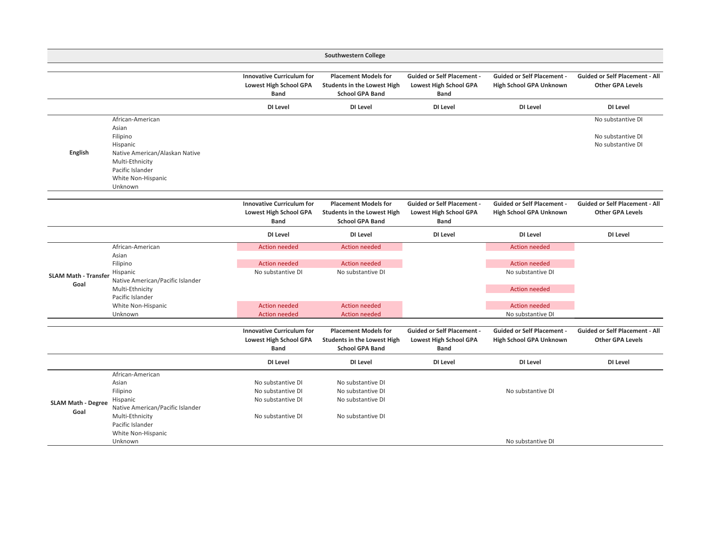|                                     |                                                                                                                                                             |                                                                                           | <b>Southwestern College</b>                                                                 |                                                                                   |                                                                                                                   |                                                                  |
|-------------------------------------|-------------------------------------------------------------------------------------------------------------------------------------------------------------|-------------------------------------------------------------------------------------------|---------------------------------------------------------------------------------------------|-----------------------------------------------------------------------------------|-------------------------------------------------------------------------------------------------------------------|------------------------------------------------------------------|
|                                     |                                                                                                                                                             | <b>Innovative Curriculum for</b><br><b>Lowest High School GPA</b><br><b>Band</b>          | <b>Placement Models for</b><br><b>Students in the Lowest High</b><br><b>School GPA Band</b> | <b>Guided or Self Placement -</b><br><b>Lowest High School GPA</b><br><b>Band</b> | <b>Guided or Self Placement -</b><br><b>High School GPA Unknown</b>                                               | <b>Guided or Self Placement - All</b><br><b>Other GPA Levels</b> |
|                                     |                                                                                                                                                             | DI Level                                                                                  | DI Level                                                                                    | DI Level                                                                          | DI Level                                                                                                          | DI Level                                                         |
| English                             | African-American<br>Asian<br>Filipino<br>Hispanic<br>Native American/Alaskan Native<br>Multi-Ethnicity<br>Pacific Islander<br>White Non-Hispanic<br>Unknown |                                                                                           |                                                                                             |                                                                                   |                                                                                                                   | No substantive DI<br>No substantive DI<br>No substantive DI      |
|                                     |                                                                                                                                                             | <b>Innovative Curriculum for</b><br><b>Lowest High School GPA</b><br><b>Band</b>          | <b>Placement Models for</b><br><b>Students in the Lowest High</b><br><b>School GPA Band</b> | <b>Guided or Self Placement -</b><br>Lowest High School GPA<br><b>Band</b>        | <b>Guided or Self Placement -</b><br><b>High School GPA Unknown</b>                                               | <b>Guided or Self Placement - All</b><br><b>Other GPA Levels</b> |
|                                     |                                                                                                                                                             | DI Level                                                                                  | DI Level                                                                                    | DI Level                                                                          | DI Level                                                                                                          | DI Level                                                         |
| <b>SLAM Math - Transfer</b><br>Goal | African-American<br>Asian<br>Filipino<br>Hispanic<br>Native American/Pacific Islander<br>Multi-Ethnicity<br>Pacific Islander<br>White Non-Hispanic          | <b>Action needed</b><br><b>Action needed</b><br>No substantive DI<br><b>Action needed</b> | <b>Action needed</b><br><b>Action needed</b><br>No substantive DI<br><b>Action needed</b>   |                                                                                   | <b>Action needed</b><br><b>Action needed</b><br>No substantive DI<br><b>Action needed</b><br><b>Action needed</b> |                                                                  |
|                                     | Unknown                                                                                                                                                     | <b>Action needed</b>                                                                      | <b>Action needed</b>                                                                        |                                                                                   | No substantive DI                                                                                                 |                                                                  |
|                                     |                                                                                                                                                             | <b>Innovative Curriculum for</b><br><b>Lowest High School GPA</b><br><b>Band</b>          | <b>Placement Models for</b><br><b>Students in the Lowest High</b><br><b>School GPA Band</b> | <b>Guided or Self Placement -</b><br><b>Lowest High School GPA</b><br><b>Band</b> | <b>Guided or Self Placement -</b><br>High School GPA Unknown                                                      | <b>Guided or Self Placement - All</b><br><b>Other GPA Levels</b> |
|                                     |                                                                                                                                                             | DI Level                                                                                  | DI Level                                                                                    | DI Level                                                                          | DI Level                                                                                                          | DI Level                                                         |
| <b>SLAM Math - Degree</b><br>Goal   | African-American<br>Asian<br>Filipino<br>Hispanic<br>Native American/Pacific Islander<br>Multi-Ethnicity<br>Pacific Islander<br>White Non-Hispanic          | No substantive DI<br>No substantive DI<br>No substantive DI<br>No substantive DI          | No substantive DI<br>No substantive DI<br>No substantive DI<br>No substantive DI            |                                                                                   | No substantive DI                                                                                                 |                                                                  |
|                                     | Unknown                                                                                                                                                     |                                                                                           |                                                                                             |                                                                                   | No substantive DI                                                                                                 |                                                                  |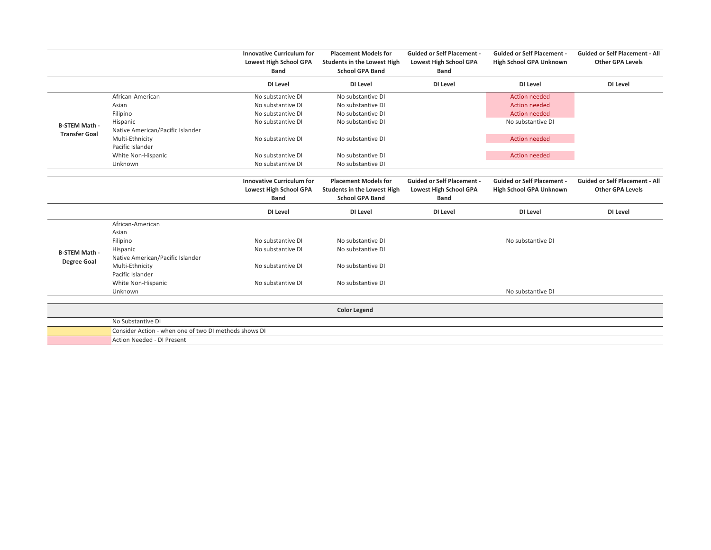|                      |                                                       | <b>Innovative Curriculum for</b><br><b>Lowest High School GPA</b><br><b>Band</b> | <b>Placement Models for</b><br><b>Students in the Lowest High</b><br><b>School GPA Band</b> | <b>Guided or Self Placement -</b><br><b>Lowest High School GPA</b><br><b>Band</b> | <b>Guided or Self Placement -</b><br>High School GPA Unknown | <b>Guided or Self Placement - All</b><br><b>Other GPA Levels</b> |
|----------------------|-------------------------------------------------------|----------------------------------------------------------------------------------|---------------------------------------------------------------------------------------------|-----------------------------------------------------------------------------------|--------------------------------------------------------------|------------------------------------------------------------------|
|                      |                                                       | DI Level                                                                         | DI Level                                                                                    | DI Level                                                                          | DI Level                                                     | DI Level                                                         |
|                      | African-American                                      | No substantive DI                                                                | No substantive DI                                                                           |                                                                                   | <b>Action needed</b>                                         |                                                                  |
|                      | Asian                                                 | No substantive DI                                                                | No substantive DI                                                                           |                                                                                   | <b>Action needed</b>                                         |                                                                  |
|                      | Filipino                                              | No substantive DI                                                                | No substantive DI                                                                           |                                                                                   | <b>Action needed</b>                                         |                                                                  |
| <b>B-STEM Math -</b> | Hispanic                                              | No substantive DI                                                                | No substantive DI                                                                           |                                                                                   | No substantive DI                                            |                                                                  |
| <b>Transfer Goal</b> | Native American/Pacific Islander                      |                                                                                  |                                                                                             |                                                                                   |                                                              |                                                                  |
|                      | Multi-Ethnicity                                       | No substantive DI                                                                | No substantive DI                                                                           |                                                                                   | <b>Action needed</b>                                         |                                                                  |
|                      | Pacific Islander                                      |                                                                                  |                                                                                             |                                                                                   |                                                              |                                                                  |
|                      | White Non-Hispanic                                    | No substantive DI                                                                | No substantive DI                                                                           |                                                                                   | <b>Action needed</b>                                         |                                                                  |
|                      | Unknown                                               | No substantive DI                                                                | No substantive DI                                                                           |                                                                                   |                                                              |                                                                  |
|                      |                                                       | <b>Innovative Curriculum for</b><br><b>Lowest High School GPA</b><br><b>Band</b> | <b>Placement Models for</b><br><b>Students in the Lowest High</b><br><b>School GPA Band</b> | <b>Guided or Self Placement -</b><br><b>Lowest High School GPA</b><br><b>Band</b> | <b>Guided or Self Placement -</b><br>High School GPA Unknown | <b>Guided or Self Placement - All</b><br><b>Other GPA Levels</b> |
|                      |                                                       | DI Level                                                                         | DI Level                                                                                    | DI Level                                                                          | DI Level                                                     | DI Level                                                         |
|                      | African-American<br>Asian                             |                                                                                  |                                                                                             |                                                                                   |                                                              |                                                                  |
|                      | Filipino                                              | No substantive DI                                                                | No substantive DI                                                                           |                                                                                   | No substantive DI                                            |                                                                  |
| <b>B-STEM Math -</b> | Hispanic                                              | No substantive DI                                                                | No substantive DI                                                                           |                                                                                   |                                                              |                                                                  |
| <b>Degree Goal</b>   | Native American/Pacific Islander                      |                                                                                  |                                                                                             |                                                                                   |                                                              |                                                                  |
|                      | Multi-Ethnicity                                       | No substantive DI                                                                | No substantive DI                                                                           |                                                                                   |                                                              |                                                                  |
|                      | Pacific Islander                                      |                                                                                  |                                                                                             |                                                                                   |                                                              |                                                                  |
|                      | White Non-Hispanic                                    | No substantive DI                                                                | No substantive DI                                                                           |                                                                                   |                                                              |                                                                  |
|                      | Unknown                                               |                                                                                  |                                                                                             |                                                                                   | No substantive DI                                            |                                                                  |
|                      |                                                       |                                                                                  | <b>Color Legend</b>                                                                         |                                                                                   |                                                              |                                                                  |
|                      | No Substantive DI                                     |                                                                                  |                                                                                             |                                                                                   |                                                              |                                                                  |
|                      | Consider Action - when one of two DI methods shows DI |                                                                                  |                                                                                             |                                                                                   |                                                              |                                                                  |
|                      | Action Needed - DI Present                            |                                                                                  |                                                                                             |                                                                                   |                                                              |                                                                  |